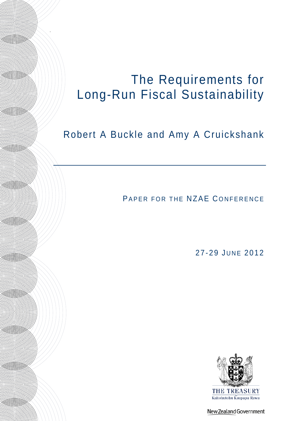# The Requirements for Long-Run Fiscal Sustainability

.

**Allie State** 

**Allian Communication** 

HIII (S)))))))))

**Allian Communication** 

**All (O)** 

**All (CONTROL)** 

**Allian Communication** 

**Allie Strategicher Schwei** 

HIIONNN

**Allian Communication** 

**Allian Communication** 

HHAZI SANNININ

# Robert A Buckle and Amy A Cruickshank

PAPER FOR THE NZAE CONFERENCE

27-29 JUNE 2012



New Zealand Government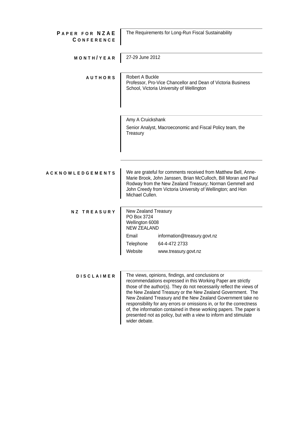| <b>PAPER FOR NZAE</b><br><b>CONFERENCE</b> | The Requirements for Long-Run Fiscal Sustainability                                                                                                                                                                                                                                                                                                                                                                                                                                                                                                          |  |  |  |
|--------------------------------------------|--------------------------------------------------------------------------------------------------------------------------------------------------------------------------------------------------------------------------------------------------------------------------------------------------------------------------------------------------------------------------------------------------------------------------------------------------------------------------------------------------------------------------------------------------------------|--|--|--|
| MONTH/YEAR                                 | 27-29 June 2012                                                                                                                                                                                                                                                                                                                                                                                                                                                                                                                                              |  |  |  |
| <b>AUTHORS</b>                             | Robert A Buckle<br>Professor, Pro-Vice Chancellor and Dean of Victoria Business<br>School, Victoria University of Wellington                                                                                                                                                                                                                                                                                                                                                                                                                                 |  |  |  |
|                                            | Amy A Cruickshank                                                                                                                                                                                                                                                                                                                                                                                                                                                                                                                                            |  |  |  |
|                                            | Senior Analyst, Macroeconomic and Fiscal Policy team, the<br>Treasury                                                                                                                                                                                                                                                                                                                                                                                                                                                                                        |  |  |  |
| <b>ACKNOWLEDGEMENTS</b>                    | We are grateful for comments received from Matthew Bell, Anne-<br>Marie Brook, John Janssen, Brian McCulloch, Bill Moran and Paul<br>Rodway from the New Zealand Treasury; Norman Gemmell and<br>John Creedy from Victoria University of Wellington; and Hon<br>Michael Cullen.                                                                                                                                                                                                                                                                              |  |  |  |
| <b>NZ TREASURY</b>                         | New Zealand Treasury<br>PO Box 3724<br>Wellington 6008<br><b>NEW ZEALAND</b><br>Email<br>information@treasury.govt.nz<br>Telephone<br>64-4-472 2733<br>Website<br>www.treasury.govt.nz                                                                                                                                                                                                                                                                                                                                                                       |  |  |  |
| <b>DISCLAIMER</b>                          | The views, opinions, findings, and conclusions or<br>recommendations expressed in this Working Paper are strictly<br>those of the author(s). They do not necessarily reflect the views of<br>the New Zealand Treasury or the New Zealand Government. The<br>New Zealand Treasury and the New Zealand Government take no<br>responsibility for any errors or omissions in, or for the correctness<br>of, the information contained in these working papers. The paper is<br>presented not as policy, but with a view to inform and stimulate<br>wider debate. |  |  |  |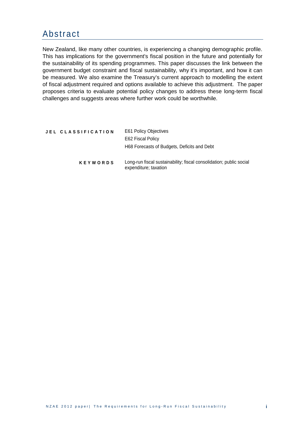## Abstract

New Zealand, like many other countries, is experiencing a changing demographic profile. This has implications for the government's fiscal position in the future and potentially for the sustainability of its spending programmes. This paper discusses the link between the government budget constraint and fiscal sustainability, why it's important, and how it can be measured. We also examine the Treasury's current approach to modelling the extent of fiscal adjustment required and options available to achieve this adjustment. The paper proposes criteria to evaluate potential policy changes to address these long-term fiscal challenges and suggests areas where further work could be worthwhile.

| JEL CLASSIFICATION | <b>E61 Policy Objectives</b>                                                                 |  |
|--------------------|----------------------------------------------------------------------------------------------|--|
|                    | E62 Fiscal Policy                                                                            |  |
|                    | H68 Forecasts of Budgets, Deficits and Debt                                                  |  |
| <b>KEYWORDS</b>    | Long-run fiscal sustainability; fiscal consolidation; public social<br>expenditure; taxation |  |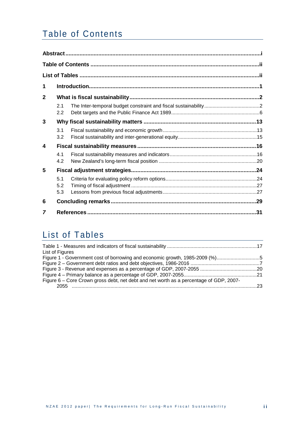# Table of Contents

| 1            |                   |  |  |
|--------------|-------------------|--|--|
| $\mathbf{2}$ |                   |  |  |
|              | 2.1<br>2.2        |  |  |
| 3            |                   |  |  |
|              | 3.1<br>3.2        |  |  |
| 4            |                   |  |  |
|              | 4.1<br>4.2        |  |  |
| 5            |                   |  |  |
|              | 5.1<br>5.2<br>5.3 |  |  |
| 6            |                   |  |  |
|              |                   |  |  |

# List of Tables

| List of Figures                                                                        |  |
|----------------------------------------------------------------------------------------|--|
| Figure 1 - Government cost of borrowing and economic growth, 1985-2009 (%)5            |  |
|                                                                                        |  |
|                                                                                        |  |
|                                                                                        |  |
| Figure 6 – Core Crown gross debt, net debt and net worth as a percentage of GDP, 2007- |  |
| 2055                                                                                   |  |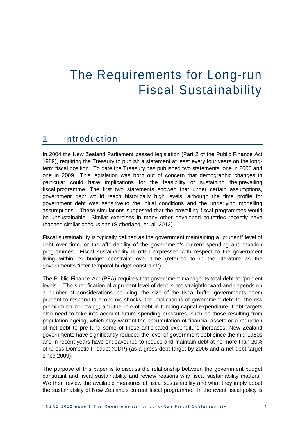# The Requirements for Long-run Fiscal Sustainability

### 1 Introduction

In 2004 the New Zealand Parliament passed legislation (Part 2 of the Public Finance Act 1989), requiring the Treasury to publish a statement at least every four years on the longterm fiscal position. To date the Treasury has published two statements, one in 2006 and one in 2009. This legislation was born out of concern that demographic changes in particular could have implications for the feasibility of sustaining the prevailing fiscal programme. The first two statements showed that under certain assumptions, government debt would reach historically high levels, although the time profile for government debt was sensitive to the initial conditions and the underlying modelling assumptions. These simulations suggested that the prevailing fiscal programmes would be unsustainable. Similar exercises in many other developed countries recently have reached similar conclusions (Sutherland, et. al. 2012).

Fiscal sustainability is typically defined as the government maintaining a "prudent" level of debt over time, or the affordability of the government's current spending and taxation programmes. Fiscal sustainability is often expressed with respect to the government living within its budget constraint over time (referred to in the literature as the government's "inter-temporal budget constraint").

The Public Finance Act (PFA) requires that government manage its total debt at "prudent levels". The specification of a prudent level of debt is not straightforward and depends on a number of considerations including: the size of the fiscal buffer governments deem prudent to respond to economic shocks; the implications of government debt for the risk premium on borrowing; and the role of debt in funding capital expenditure. Debt targets also need to take into account future spending pressures, such as those resulting from population ageing, which may warrant the accumulation of financial assets or a reduction of net debt to pre-fund some of these anticipated expenditure increases. New Zealand governments have significantly reduced the level of government debt since the mid-1980s and in recent years have endeavoured to reduce and maintain debt at no more than 20% of Gross Domestic Product (GDP) (as a gross debt target by 2006 and a net debt target since 2009).

The purpose of this paper is to discuss the relationship between the government budget constraint and fiscal sustainability and review reasons why fiscal sustainability matters. We then review the available measures of fiscal sustainability and what they imply about the sustainability of New Zealand's current fiscal programme. In the event fiscal policy is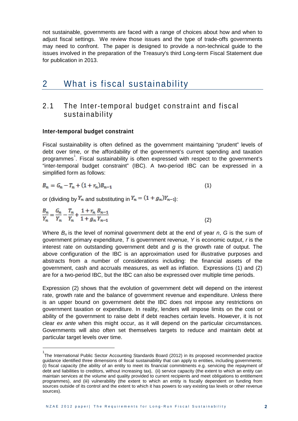not sustainable, governments are faced with a range of choices about how and when to adjust fiscal settings. We review those issues and the type of trade-offs governments may need to confront. The paper is designed to provide a non-technical guide to the issues involved in the preparation of the Treasury's third Long-term Fiscal Statement due for publication in 2013.

### 2 What is fiscal sustainability

### 2.1 The Inter-temporal budget constraint and fiscal sustainability

#### **Inter-temporal budget constraint**

1

Fiscal sustainability is often defined as the government maintaining "prudent" levels of debt over time, or the affordability of the government's current spending and taxation programmes<sup>[1](#page-5-0)</sup>. Fiscal sustainability is often expressed with respect to the government's "inter-temporal budget constraint" (IBC). A two-period IBC can be expressed in a simplified form as follows:

$$
B_n = G_n - T_n + (1 + r_n)B_{n-1}
$$
\n(1)

or (dividing by  $Y_m$  and substituting in  $Y_n = (1 + g_n)Y_{n-1}$ ):

$$
\frac{B_n}{Y_n} = \frac{G_n}{Y_n} - \frac{T_n}{Y_n} + \frac{1 + r_n}{1 + g_n} \frac{B_{n-1}}{Y_{n-1}}
$$
\n(2)

Where *Bn* is the level of nominal government debt at the end of year *n*, *G* is the sum of government primary expenditure, *T* is government revenue, *Y* is economic output, *r* is the interest rate on outstanding government debt and *g* is the growth rate of output. The above configuration of the IBC is an approximation used for illustrative purposes and abstracts from a number of considerations including: the financial assets of the government, cash and accruals measures, as well as inflation. Expressions (1) and (2) are for a two-period IBC, but the IBC can also be expressed over multiple time periods.

Expression (2) shows that the evolution of government debt will depend on the interest rate, growth rate and the balance of government revenue and expenditure. Unless there is an upper bound on government debt the IBC does not impose any restrictions on government taxation or expenditure. In reality, lenders will impose limits on the cost or ability of the government to raise debt if debt reaches certain levels. However, it is not clear *ex ante* when this might occur, as it will depend on the particular circumstances. Governments will also often set themselves targets to reduce and maintain debt at particular target levels over time.

<span id="page-5-0"></span><sup>1&</sup>lt;br>The International Public Sector Accounting Standards Board (2012) in its proposed recommended practice guidance identified three dimensions of fiscal sustainability that can apply to entities, including governments: (i) fiscal capacity (the ability of an entity to meet its financial commitments e.g. servicing the repayment of debt and liabilities to creditors, without increasing tax), (ii) service capacity (the extent to which an entity can maintain services at the volume and quality provided to current recipients and meet obligations to entitlement programmes), and (iii) vulnerability (the extent to which an entity is fiscally dependent on funding from sources outside of its control and the extent to which it has powers to vary existing tax levels or other revenue sources).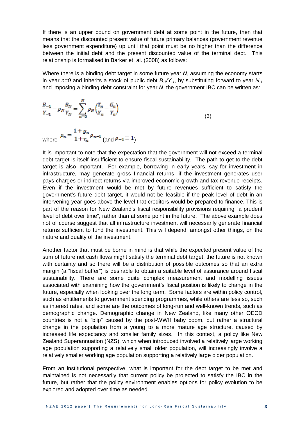If there is an upper bound on government debt at some point in the future, then that means that the discounted present value of future primary balances (government revenue less government expenditure) up until that point must be no higher than the difference between the initial debt and the present discounted value of the terminal debt. This relationship is formalised in Barker et. al. (2008) as follows:

Where there is a binding debt target in some future year *N*, assuming the economy starts in year  $n=0$  and inherits a stock of public debt  $B_1/Y_{1}$ , by substituting forward to year  $N_{1}$ and imposing a binding debt constraint for year *N*, the government IBC can be written as:

$$
\frac{B_{-1}}{Y_{-1}} - \rho_N \frac{B_N}{Y_N} = \sum_{n=0}^N \rho_N \left(\frac{T_n}{Y_n} - \frac{G_n}{Y_n}\right)
$$
(3)

where  $\rho_n = \frac{1+g_n}{1+r_n} \rho_{n-1}$  (and  $\rho_{-1} \equiv 1$ )

It is important to note that the expectation that the government will not exceed a terminal debt target is itself insufficient to ensure fiscal sustainability. The path to get to the debt target is also important. For example, borrowing in early years, say for investment in infrastructure, may generate gross financial returns, if the investment generates user pays charges or indirect returns via improved economic growth and tax revenue receipts. Even if the investment would be met by future revenues sufficient to satisfy the government's future debt target, it would not be feasible if the peak level of debt in an intervening year goes above the level that creditors would be prepared to finance. This is part of the reason for New Zealand's fiscal responsibility provisions requiring "a prudent level of debt over time", rather than at some point in the future. The above example does not of course suggest that all infrastructure investment will necessarily generate financial returns sufficient to fund the investment. This will depend, amongst other things, on the nature and quality of the investment.

Another factor that must be borne in mind is that while the expected present value of the sum of future net cash flows might satisfy the terminal debt target, the future is not known with certainty and so there will be a distribution of possible outcomes so that an extra margin (a "fiscal buffer") is desirable to obtain a suitable level of assurance around fiscal sustainability. There are some quite complex measurement and modelling issues associated with examining how the government's fiscal position is likely to change in the future, especially when looking over the long term. Some factors are within policy control, such as entitlements to government spending programmes, while others are less so, such as interest rates, and some are the outcomes of long-run and well-known trends, such as demographic change. Demographic change in New Zealand, like many other OECD countries is not a "blip" caused by the post-WWII baby boom, but rather a structural change in the population from a young to a more mature age structure, caused by increased life expectancy and smaller family sizes. In this context, a policy like New Zealand Superannuation (NZS), which when introduced involved a relatively large working age population supporting a relatively small older population, will increasingly involve a relatively smaller working age population supporting a relatively large older population.

From an institutional perspective, what is important for the debt target to be met and maintained is not necessarily that current policy be projected to satisfy the IBC in the future, but rather that the policy environment enables options for policy evolution to be explored and adopted over time as needed.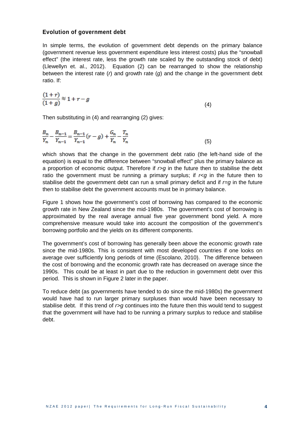#### **Evolution of government debt**

In simple terms, the evolution of government debt depends on the primary balance (government revenue less government expenditure less interest costs) plus the "snowball effect" (the interest rate, less the growth rate scaled by the outstanding stock of debt) (Llewellyn et. al., 2012). Equation (2) can be rearranged to show the relationship between the interest rate (*r*) and growth rate (*g*) and the change in the government debt ratio. If:

$$
\frac{(1+r)}{(1+g)} \approx 1+r-g \tag{4}
$$

Then substituting in (4) and rearranging (2) gives:

$$
\frac{B_n}{Y_n} - \frac{B_{n-1}}{Y_{n-1}} = \frac{B_{n-1}}{Y_{n-1}}(r-g) + \frac{G_n}{Y_n} - \frac{T_n}{Y_n}
$$
(5)

which shows that the change in the government debt ratio (the left-hand side of the equation) is equal to the difference between "snowball effect" plus the primary balance as a proportion of economic output. Therefore if  $r > q$  in the future then to stabilise the debt ratio the government must be running a primary surplus; if  $r < q$  in the future then to stabilise debt the government debt can run a small primary deficit and if *r=g* in the future then to stabilise debt the government accounts must be in primary balance.

Figure 1 shows how the government's cost of borrowing has compared to the economic growth rate in New Zealand since the mid-1980s. The government's cost of borrowing is approximated by the real average annual five year government bond yield. A more comprehensive measure would take into account the composition of the government's borrowing portfolio and the yields on its different components.

The government's cost of borrowing has generally been above the economic growth rate since the mid-1980s. This is consistent with most developed countries if one looks on average over sufficiently long periods of time (Escolano, 2010). The difference between the cost of borrowing and the economic growth rate has decreased on average since the 1990s. This could be at least in part due to the reduction in government debt over this period. This is shown in Figure 2 later in the paper.

To reduce debt (as governments have tended to do since the mid-1980s) the government would have had to run larger primary surpluses than would have been necessary to stabilise debt. If this trend of *r>g* continues into the future then this would tend to suggest that the government will have had to be running a primary surplus to reduce and stabilise debt.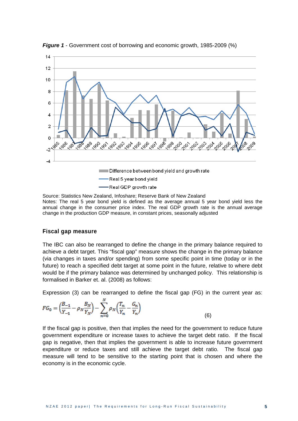

<span id="page-8-0"></span>*Figure 1* - Government cost of borrowing and economic growth, 1985-2009 (%)

Source: Statistics New Zealand, Infoshare; Reserve Bank of New Zealand Notes: The real 5 year bond yield is defined as the average annual 5 year bond yield less the annual change in the consumer price index. The real GDP growth rate is the annual average change in the production GDP measure, in constant prices, seasonally adjusted

#### **Fiscal gap measure**

The IBC can also be rearranged to define the change in the primary balance required to achieve a debt target. This "fiscal gap" measure shows the change in the primary balance (via changes in taxes and/or spending) from some specific point in time (today or in the future) to reach a specified debt target at some point in the future, relative to where debt would be if the primary balance was determined by unchanged policy. This relationship is formalised in Barker et. al. (2008) as follows:

Expression (3) can be rearranged to define the fiscal gap (FG) in the current year as:

$$
FG_0 = \left(\frac{B_{-1}}{Y_{-1}} - \rho_N \frac{B_N}{Y_N}\right) - \sum_{n=0}^{N} \rho_N \left(\frac{T_n}{Y_n} - \frac{G_n}{Y_n}\right) \tag{6}
$$

If the fiscal gap is positive, then that implies the need for the government to reduce future government expenditure or increase taxes to achieve the target debt ratio. If the fiscal gap is negative, then that implies the government is able to increase future government expenditure or reduce taxes and still achieve the target debt ratio. The fiscal gap measure will tend to be sensitive to the starting point that is chosen and where the economy is in the economic cycle.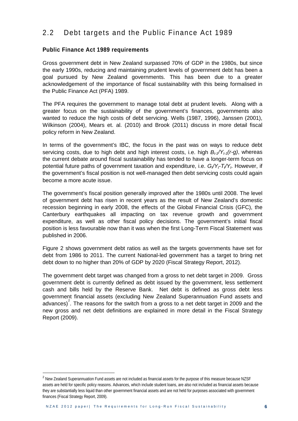### 2.2 Debt targets and the Public Finance Act 1989

#### **Public Finance Act 1989 requirements**

Gross government debt in New Zealand surpassed 70% of GDP in the 1980s, but since the early 1990s, reducing and maintaining prudent levels of government debt has been a goal pursued by New Zealand governments. This has been due to a greater acknowledgement of the importance of fiscal sustainability with this being formalised in the Public Finance Act (PFA) 1989.

The PFA requires the government to manage total debt at prudent levels. Along with a greater focus on the sustainability of the government's finances, governments also wanted to reduce the high costs of debt servicing. Wells (1987, 1996), Janssen (2001), Wilkinson (2004), Mears et. al. (2010) and Brook (2011) discuss in more detail fiscal policy reform in New Zealand.

In terms of the government's IBC, the focus in the past was on ways to reduce debt servicing costs, due to high debt and high interest costs, i.e. high  $B_{t-1}/Y_{t-1}(r-q)$ , whereas the current debate around fiscal sustainability has tended to have a longer-term focus on potential future paths of government taxation and expenditure, i.e.  $G_{\ell}Y_t - T_{\ell}Y_t$ . However, if the government's fiscal position is not well-managed then debt servicing costs could again become a more acute issue.

The government's fiscal position generally improved after the 1980s until 2008. The level of government debt has risen in recent years as the result of New Zealand's domestic recession beginning in early 2008, the effects of the Global Financial Crisis (GFC), the Canterbury earthquakes all impacting on tax revenue growth and government expenditure, as well as other fiscal policy decisions. The government's initial fiscal position is less favourable now than it was when the first Long-Term Fiscal Statement was published in 2006.

Figure 2 shows government debt ratios as well as the targets governments have set for debt from 1986 to 2011. The current National-led government has a target to bring net debt down to no higher than 20% of GDP by 2020 (Fiscal Strategy Report, 2012).

The government debt target was changed from a gross to net debt target in 2009. Gross government debt is currently defined as debt issued by the government, less settlement cash and bills held by the Reserve Bank. Net debt is defined as gross debt less government financial assets (excluding New Zealand Superannuation Fund assets and advances)<sup>[2](#page-9-0)</sup>. The reasons for the switch from a gross to a net debt target in 2009 and the new gross and net debt definitions are explained in more detail in the Fiscal Strategy Report (2009).

<span id="page-9-0"></span><sup>&</sup>lt;sup>2</sup> New Zealand Superannuation Fund assets are not included as financial assets for the purpose of this measure because NZSF assets are held for specific policy reasons. Advances, which include student loans, are also not included as financial assets because they are substantially less liquid than other government financial assets and are not held for purposes associated with government finances (Fiscal Strategy Report, 2009).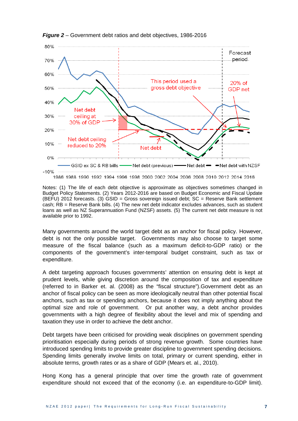

<span id="page-10-0"></span>*Figure 2* – Government debt ratios and debt objectives, 1986-2016

1986 1988 1990 1992 1994 1996 1998 2000 2002 2004 2006 2008 2010 2012 2014 2016

Notes: (1) The life of each debt objective is approximate as objectives sometimes changed in Budget Policy Statements. (2) Years 2012-2016 are based on Budget Economic and Fiscal Update (BEFU) 2012 forecasts. (3) GSID = Gross sovereign issued debt; SC = Reserve Bank settlement cash; RB = Reserve Bank bills. (4) The new net debt indicator excludes advances, such as student loans as well as NZ Superannuation Fund (NZSF) assets. (5) The current net debt measure is not available prior to 1992.

Many governments around the world target debt as an anchor for fiscal policy. However, debt is not the only possible target. Governments may also choose to target some measure of the fiscal balance (such as a maximum deficit-to-GDP ratio) or the components of the government's inter-temporal budget constraint, such as tax or expenditure.

A debt targeting approach focuses governments' attention on ensuring debt is kept at prudent levels, while giving discretion around the composition of tax and expenditure (referred to in Barker et. al. (2008) as the "fiscal structure").Government debt as an anchor of fiscal policy can be seen as more ideologically neutral than other potential fiscal anchors, such as tax or spending anchors, because it does not imply anything about the optimal size and role of government. Or put another way, a debt anchor provides governments with a high degree of flexibility about the level and mix of spending and taxation they use in order to achieve the debt anchor.

Debt targets have been criticised for providing weak disciplines on government spending prioritisation especially during periods of strong revenue growth. Some countries have introduced spending limits to provide greater discipline to government spending decisions. Spending limits generally involve limits on total, primary or current spending, either in absolute terms, growth rates or as a share of GDP (Mears et. al., 2010).

Hong Kong has a general principle that over time the growth rate of government expenditure should not exceed that of the economy (i.e. an expenditure-to-GDP limit).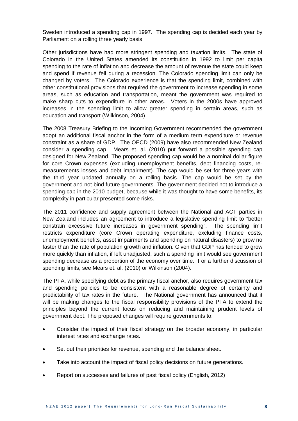Sweden introduced a spending cap in 1997. The spending cap is decided each year by Parliament on a rolling three yearly basis.

Other jurisdictions have had more stringent spending and taxation limits. The state of Colorado in the United States amended its constitution in 1992 to limit per capita spending to the rate of inflation and decrease the amount of revenue the state could keep and spend if revenue fell during a recession. The Colorado spending limit can only be changed by voters. The Colorado experience is that the spending limit, combined with other constitutional provisions that required the government to increase spending in some areas, such as education and transportation, meant the government was required to make sharp cuts to expenditure in other areas. Voters in the 2000s have approved increases in the spending limit to allow greater spending in certain areas, such as education and transport (Wilkinson, 2004).

The 2008 Treasury Briefing to the Incoming Government recommended the government adopt an additional fiscal anchor in the form of a medium term expenditure or revenue constraint as a share of GDP. The OECD (2009) have also recommended New Zealand consider a spending cap. Mears et. al. (2010) put forward a possible spending cap designed for New Zealand. The proposed spending cap would be a nominal dollar figure for core Crown expenses (excluding unemployment benefits, debt financing costs, remeasurements losses and debt impairment). The cap would be set for three years with the third year updated annually on a rolling basis. The cap would be set by the government and not bind future governments. The government decided not to introduce a spending cap in the 2010 budget, because while it was thought to have some benefits, its complexity in particular presented some risks.

The 2011 confidence and supply agreement between the National and ACT parties in New Zealand includes an agreement to introduce a legislative spending limit to "better constrain excessive future increases in government spending". The spending limit restricts expenditure (core Crown operating expenditure, excluding finance costs, unemployment benefits, asset impairments and spending on natural disasters) to grow no faster than the rate of population growth and inflation. Given that GDP has tended to grow more quickly than inflation, if left unadjusted, such a spending limit would see government spending decrease as a proportion of the economy over time. For a further discussion of spending limits, see Mears et. al. (2010) or Wilkinson (2004).

The PFA, while specifying debt as the primary fiscal anchor, also requires government tax and spending policies to be consistent with a reasonable degree of certainty and predictability of tax rates in the future. The National government has announced that it will be making changes to the fiscal responsibility provisions of the PFA to extend the principles beyond the current focus on reducing and maintaining prudent levels of government debt. The proposed changes will require governments to:

- Consider the impact of their fiscal strategy on the broader economy, in particular interest rates and exchange rates.
- Set out their priorities for revenue, spending and the balance sheet.
- Take into account the impact of fiscal policy decisions on future generations.
- Report on successes and failures of past fiscal policy (English, 2012)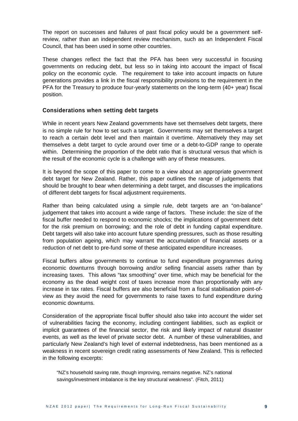The report on successes and failures of past fiscal policy would be a government selfreview, rather than an independent review mechanism, such as an Independent Fiscal Council, that has been used in some other countries.

These changes reflect the fact that the PFA has been very successful in focusing governments on reducing debt, but less so in taking into account the impact of fiscal policy on the economic cycle. The requirement to take into account impacts on future generations provides a link in the fiscal responsibility provisions to the requirement in the PFA for the Treasury to produce four-yearly statements on the long-term (40+ year) fiscal position.

#### **Considerations when setting debt targets**

While in recent years New Zealand governments have set themselves debt targets, there is no simple rule for how to set such a target. Governments may set themselves a target to reach a certain debt level and then maintain it overtime. Alternatively they may set themselves a debt target to cycle around over time or a debt-to-GDP range to operate within. Determining the proportion of the debt ratio that is structural versus that which is the result of the economic cycle is a challenge with any of these measures.

It is beyond the scope of this paper to come to a view about an appropriate government debt target for New Zealand. Rather, this paper outlines the range of judgements that should be brought to bear when determining a debt target, and discusses the implications of different debt targets for fiscal adjustment requirements.

Rather than being calculated using a simple rule, debt targets are an "on-balance" judgement that takes into account a wide range of factors. These include: the size of the fiscal buffer needed to respond to economic shocks; the implications of government debt for the risk premium on borrowing; and the role of debt in funding capital expenditure. Debt targets will also take into account future spending pressures, such as those resulting from population ageing, which may warrant the accumulation of financial assets or a reduction of net debt to pre-fund some of these anticipated expenditure increases.

Fiscal buffers allow governments to continue to fund expenditure programmes during economic downturns through borrowing and/or selling financial assets rather than by increasing taxes. This allows "tax smoothing" over time, which may be beneficial for the economy as the dead weight cost of taxes increase more than proportionally with any increase in tax rates. Fiscal buffers are also beneficial from a fiscal stabilisation point-ofview as they avoid the need for governments to raise taxes to fund expenditure during economic downturns.

Consideration of the appropriate fiscal buffer should also take into account the wider set of vulnerabilities facing the economy, including contingent liabilities, such as explicit or implicit guarantees of the financial sector, the risk and likely impact of natural disaster events, as well as the level of private sector debt. A number of these vulnerabilities, and particularly New Zealand's high level of external indebtedness, has been mentioned as a weakness in recent sovereign credit rating assessments of New Zealand. This is reflected in the following excerpts:

"NZ's household saving rate, though improving, remains negative. NZ's national savings/investment imbalance is the key structural weakness". (Fitch, 2011)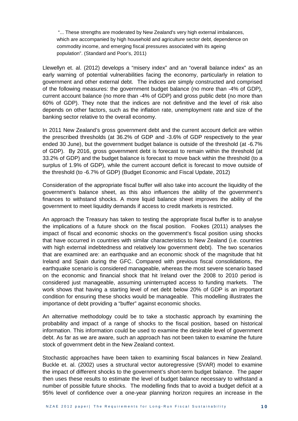"... These strengths are moderated by New Zealand's very high external imbalances, which are accompanied by high household and agriculture sector debt, dependence on commodity income, and emerging fiscal pressures associated with its ageing population". (Standard and Poor's, 2011)

Llewellyn et. al. (2012) develops a "misery index" and an "overall balance index" as an early warning of potential vulnerabilities facing the economy, particularly in relation to government and other external debt. The indices are simply constructed and comprised of the following measures: the government budget balance (no more than -4% of GDP), current account balance (no more than -4% of GDP) and gross public debt (no more than 60% of GDP). They note that the indices are not definitive and the level of risk also depends on other factors, such as the inflation rate, unemployment rate and size of the banking sector relative to the overall economy.

In 2011 New Zealand's gross government debt and the current account deficit are within the prescribed thresholds (at 36.2% of GDP and -3.6% of GDP respectively to the year ended 30 June), but the government budget balance is outside of the threshold (at -6.7% of GDP). By 2016, gross government debt is forecast to remain within the threshold (at 33.2% of GDP) and the budget balance is forecast to move back within the threshold (to a surplus of 1.9% of GDP), while the current account deficit is forecast to move outside of the threshold (to -6.7% of GDP) (Budget Economic and Fiscal Update, 2012)

Consideration of the appropriate fiscal buffer will also take into account the liquidity of the government's balance sheet, as this also influences the ability of the government's finances to withstand shocks. A more liquid balance sheet improves the ability of the government to meet liquidity demands if access to credit markets is restricted.

An approach the Treasury has taken to testing the appropriate fiscal buffer is to analyse the implications of a future shock on the fiscal position. Fookes (2011) analyses the impact of fiscal and economic shocks on the government's fiscal position using shocks that have occurred in countries with similar characteristics to New Zealand (i.e. countries with high external indebtedness and relatively low government debt). The two scenarios that are examined are: an earthquake and an economic shock of the magnitude that hit Ireland and Spain during the GFC. Compared with previous fiscal consolidations, the earthquake scenario is considered manageable, whereas the most severe scenario based on the economic and financial shock that hit Ireland over the 2008 to 2010 period is considered just manageable, assuming uninterrupted access to funding markets. The work shows that having a starting level of net debt below 20% of GDP is an important condition for ensuring these shocks would be manageable. This modelling illustrates the importance of debt providing a "buffer" against economic shocks.

An alternative methodology could be to take a stochastic approach by examining the probability and impact of a range of shocks to the fiscal position, based on historical information. This information could be used to examine the desirable level of government debt. As far as we are aware, such an approach has not been taken to examine the future stock of government debt in the New Zealand context.

Stochastic approaches have been taken to examining fiscal balances in New Zealand. Buckle et. al. (2002) uses a structural vector autoregressive (SVAR) model to examine the impact of different shocks to the government's short-term budget balance. The paper then uses these results to estimate the level of budget balance necessary to withstand a number of possible future shocks. The modelling finds that to avoid a budget deficit at a 95% level of confidence over a one-year planning horizon requires an increase in the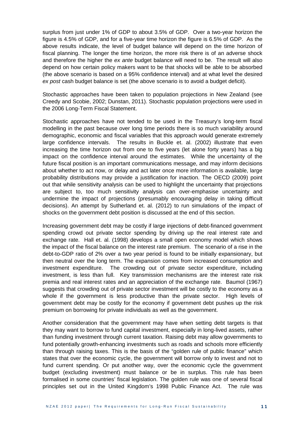surplus from just under 1% of GDP to about 3.5% of GDP. Over a two-year horizon the figure is 4.5% of GDP, and for a five-year time horizon the figure is 6.5% of GDP. As the above results indicate, the level of budget balance will depend on the time horizon of fiscal planning. The longer the time horizon, the more risk there is of an adverse shock and therefore the higher the *ex ante* budget balance will need to be. The result will also depend on how certain policy makers want to be that shocks will be able to be absorbed (the above scenario is based on a 95% confidence interval) and at what level the desired *ex post* cash budget balance is set (the above scenario is to avoid a budget deficit).

Stochastic approaches have been taken to population projections in New Zealand (see Creedy and Scobie, 2002; Dunstan, 2011). Stochastic population projections were used in the 2006 Long-Term Fiscal Statement.

Stochastic approaches have not tended to be used in the Treasury's long-term fiscal modelling in the past because over long time periods there is so much variability around demographic, economic and fiscal variables that this approach would generate extremely large confidence intervals. The results in Buckle et. al. (2002) illustrate that even increasing the time horizon out from one to five years (let alone forty years) has a big impact on the confidence interval around the estimates. While the uncertainty of the future fiscal position is an important communications message, and may inform decisions about whether to act now, or delay and act later once more information is available, large probability distributions may provide a justification for inaction. The OECD (2009) point out that while sensitivity analysis can be used to highlight the uncertainty that projections are subject to, too much sensitivity analysis can over-emphasise uncertainty and undermine the impact of projections (presumably encouraging delay in taking difficult decisions). An attempt by Sutherland et. al. (2012) to run simulations of the impact of shocks on the government debt position is discussed at the end of this section.

Increasing government debt may be costly if large injections of debt-financed government spending crowd out private sector spending by driving up the real interest rate and exchange rate. Hall et. al. (1998) develops a small open economy model which shows the impact of the fiscal balance on the interest rate premium. The scenario of a rise in the debt-to-GDP ratio of 2% over a two year period is found to be initially expansionary, but then neutral over the long term. The expansion comes from increased consumption and investment expenditure. The crowding out of private sector expenditure, including investment, is less than full. Key transmission mechanisms are the interest rate risk premia and real interest rates and an appreciation of the exchange rate. Baumol (1967) suggests that crowding out of private sector investment will be costly to the economy as a whole if the government is less productive than the private sector. High levels of government debt may be costly for the economy if government debt pushes up the risk premium on borrowing for private individuals as well as the government.

Another consideration that the government may have when setting debt targets is that they may want to borrow to fund capital investment, especially in long-lived assets, rather than funding investment through current taxation. Raising debt may allow governments to fund potentially growth-enhancing investments such as roads and schools more efficiently than through raising taxes. This is the basis of the "golden rule of public finance" which states that over the [economic cycle,](http://en.wikipedia.org/wiki/Economic_cycle) the government will borrow only to [invest](http://en.wikipedia.org/wiki/Investment) and not to fund [current spending.](http://en.wikipedia.org/wiki/Current_account) Or put another way, over the economic cycle the government budget (excluding investment) must balance or be in surplus. This rule has been formalised in some countries' fiscal legislation. The golden rule was one of several fiscal principles set out in the United Kingdom's 1998 Public Finance Act. The rule was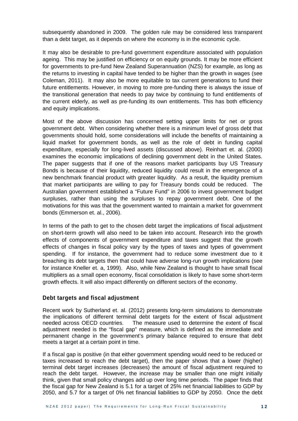subsequently abandoned in 2009. The golden rule may be considered less transparent than a debt target, as it depends on where the economy is in the economic cycle.

It may also be desirable to pre-fund government expenditure associated with population ageing. This may be justified on efficiency or on equity grounds. It may be more efficient for governments to pre-fund New Zealand Superannuation (NZS) for example, as long as the returns to investing in capital have tended to be higher than the growth in wages (see Coleman, 2011). It may also be more equitable to tax current generations to fund their future entitlements. However, in moving to more pre-funding there is always the issue of the transitional generation that needs to pay twice by continuing to fund entitlements of the current elderly, as well as pre-funding its own entitlements. This has both efficiency and equity implications.

Most of the above discussion has concerned setting upper limits for net or gross government debt. When considering whether there is a minimum level of gross debt that governments should hold, some considerations will include the benefits of maintaining a liquid market for government bonds, as well as the role of debt in funding capital expenditure, especially for long-lived assets (discussed above). Reinhart et. al. (2000) examines the economic implications of declining government debt in the United States. The paper suggests that if one of the reasons market participants buy US Treasury Bonds is because of their liquidity, reduced liquidity could result in the emergence of a new benchmark financial product with greater liquidity. As a result, the liquidity premium that market participants are willing to pay for Treasury bonds could be reduced. The Australian government established a "Future Fund" in 2006 to invest government budget surpluses, rather than using the surpluses to repay government debt. One of the motivations for this was that the government wanted to maintain a market for government bonds (Emmerson et. al., 2006).

In terms of the path to get to the chosen debt target the implications of fiscal adjustment on short-term growth will also need to be taken into account. Research into the growth effects of components of government expenditure and taxes suggest that the growth effects of changes in fiscal policy vary by the types of taxes and types of government spending. If for instance, the government had to reduce some investment due to it breaching its debt targets then that could have adverse long-run growth implications (see for instance Kneller et. a, 1999). Also, while New Zealand is thought to have small fiscal multipliers as a small open economy, fiscal consolidation is likely to have some short-term growth effects. It will also impact differently on different sectors of the economy.

#### **Debt targets and fiscal adjustment**

Recent work by Sutherland et. al. (2012) presents long-term simulations to demonstrate the implications of different terminal debt targets for the extent of fiscal adjustment needed across OECD countries. The measure used to determine the extent of fiscal adjustment needed is the "fiscal gap" measure, which is defined as the immediate and permanent change in the government's primary balance required to ensure that debt meets a target at a certain point in time.

If a fiscal gap is positive (in that either government spending would need to be reduced or taxes increased to reach the debt target), then the paper shows that a lower (higher) terminal debt target increases (decreases) the amount of fiscal adjustment required to reach the debt target. However, the increase may be smaller than one might initially think, given that small policy changes add up over long time periods. The paper finds that the fiscal gap for New Zealand is 5.1 for a target of 25% net financial liabilities to GDP by 2050, and 5.7 for a target of 0% net financial liabilities to GDP by 2050. Once the debt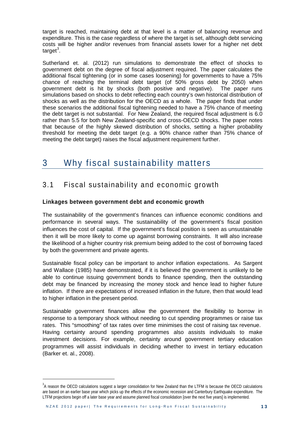target is reached, maintaining debt at that level is a matter of balancing revenue and expenditure. This is the case regardless of where the target is set, although debt servicing costs will be higher and/or revenues from financial assets lower for a higher net debt target<sup>[3](#page-16-0)</sup>.

Sutherland et. al. (2012) run simulations to demonstrate the effect of shocks to government debt on the degree of fiscal adjustment required. The paper calculates the additional fiscal tightening (or in some cases loosening) for governments to have a 75% chance of reaching the terminal debt target (of 50% gross debt by 2050) when government debt is hit by shocks (both positive and negative). The paper runs simulations based on shocks to debt reflecting each country's own historical distribution of shocks as well as the distribution for the OECD as a whole. The paper finds that under these scenarios the additional fiscal tightening needed to have a 75% chance of meeting the debt target is not substantial. For New Zealand, the required fiscal adjustment is 6.0 rather than 5.5 for both New Zealand-specific and cross-OECD shocks. The paper notes that because of the highly skewed distribution of shocks, setting a higher probability threshold for meeting the debt target (e.g. a 90% chance rather than 75% chance of meeting the debt target) raises the fiscal adjustment requirement further.

# 3 Why fiscal sustainability matters

### 3.1 Fiscal sustainability and economic growth

#### **Linkages between government debt and economic growth**

The sustainability of the government's finances can influence economic conditions and performance in several ways. The sustainability of the government's fiscal position influences the cost of capital. If the government's fiscal position is seen as unsustainable then it will be more likely to come up against borrowing constraints. It will also increase the likelihood of a higher country risk premium being added to the cost of borrowing faced by both the government and private agents.

Sustainable fiscal policy can be important to anchor inflation expectations. As Sargent and Wallace (1985) have demonstrated, if it is believed the government is unlikely to be able to continue issuing government bonds to finance spending, then the outstanding debt may be financed by increasing the money stock and hence lead to higher future inflation. If there are expectations of increased inflation in the future, then that would lead to higher inflation in the present period.

Sustainable government finances allow the government the flexibility to borrow in response to a temporary shock without needing to cut spending programmes or raise tax rates. This "smoothing" of tax rates over time minimises the cost of raising tax revenue. Having certainty around spending programmes also assists individuals to make investment decisions. For example, certainty around government tertiary education programmes will assist individuals in deciding whether to invest in tertiary education (Barker et. al., 2008).

<span id="page-16-0"></span> $3$ A reason the OECD calculations suggest a larger consolidation for New Zealand than the LTFM is because the OECD calculations are based on an earlier base year which picks up the effects of the economic recession and Canterbury Earthquake expenditure. The LTFM projections begin off a later base year and assume planned fiscal consolidation [over the next five years] is implemented.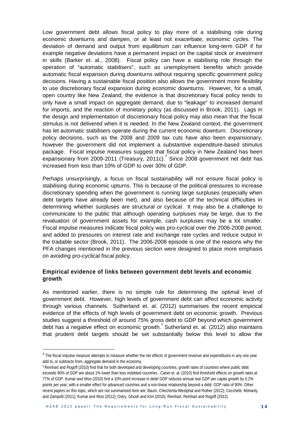Low government debt allows fiscal policy to play more of a stabilising role during economic downturns and dampen, or at least not exacerbate, economic cycles. The deviation of demand and output from equilibrium can influence long-term GDP if for example negative deviations have a permanent impact on the capital stock or investment in skills (Barker et. al., 2008). Fiscal policy can have a stabilising role through the operation of "automatic stabilisers", such as unemployment benefits which provide automatic fiscal expansion during downturns without requiring specific government policy decisions. Having a sustainable fiscal position also allows the government more flexibility to use discretionary fiscal expansion during economic downturns. However, for a small, open country like New Zealand, the evidence is that discretionary fiscal policy tends to only have a small impact on aggregate demand, due to "leakage" to increased demand for imports, and the reaction of monetary policy (as discussed in Brook, 2011). Lags in the design and implementation of discretionary fiscal policy may also mean that the fiscal stimulus is not delivered when it is needed. In the New Zealand context, the government has let automatic stabilisers operate during the current economic downturn. Discretionary policy decisions, such as the 2008 and 2009 tax cuts have also been expansionary, however the government did not implement a substantive expenditure-based stimulus package. Fiscal impulse measures suggest that fiscal policy in New Zealand has been expansionary from 2009-2011 (Treasury, 2011c).<sup>[4](#page-17-0)</sup> Since 2008 government net debt has increased from less than 10% of GDP to over 30% of GDP.

Perhaps unsurprisingly, a focus on fiscal sustainability will not ensure fiscal policy is stabilising during economic upturns. This is because of the political pressures to increase discretionary spending when the government is running large surpluses (especially when debt targets have already been met), and also because of the technical difficulties in determining whether surpluses are structural or cyclical. It may also be a challenge to communicate to the public that although operating surpluses may be large, due to the revaluation of government assets for example, cash surpluses may be a lot smaller. Fiscal impulse measures indicate fiscal policy was pro-cyclical over the 2006-2008 period, and added to pressures on interest rate and exchange rate cycles and reduce output in the tradable sector (Brook, 2011). The 2006-2008 episode is one of the reasons why the PFA changes mentioned in the previous section were designed to place more emphasis on avoiding pro-cyclical fiscal policy.

#### **Empirical evidence of links between government debt levels and economic growth**

As mentioned earlier, there is no simple rule for determining the optimal level of government debt. However, high levels of government debt can affect economic activity through various channels. Sutherland et. al. (2012) summarises the recent empirical evidence of the effects of high levels of government debt on economic growth. Previous studies suggest a threshold of around 75% gross debt to GDP beyond which government debt has a negative effect on economic growth.<sup>[5](#page-17-1)</sup> Sutherland et. al. (2012) also maintains that prudent debt targets should be set substantially below this level to allow the

<span id="page-17-0"></span><sup>&</sup>lt;sup>4</sup> The fiscal impulse measure attempts to measure whether the net effects of government revenue and expenditures in any one year add to, or subtracts from, aggregate demand in the economy.

<span id="page-17-1"></span><sup>5</sup> Reinhart and Rogoff (2010) find that for both developed and developing countries, growth rates of countries where public debt exceeds 90% of GDP are about 1% lower than less indebted countries. Caner et. al. (2010) find threshold effects on growth rates at 77% of GDP. Kumar and Woo (2010) find a 10% point increase in debt/ GDP reduces annual real GDP per capita growth by 0.2% points per year, with a smaller effect for advanced countries and a non-linear relationship beyond a debt: GDP ratio of 90%. Other recent papers on this topic, which are not summarised here are: Baum, Checherita-Westphal and Rother (2012); Cecchetti, Mohanty and Zampolli (2011); Kumar and Woo (2012); Ostry, Ghosh and Kim (2010); Reinhart, Reinhart and Rogoff (2012).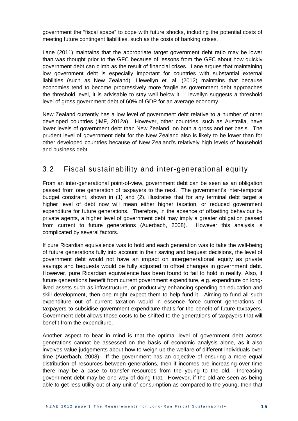government the "fiscal space" to cope with future shocks, including the potential costs of meeting future contingent liabilities, such as the costs of banking crises.

Lane (2011) maintains that the appropriate target government debt ratio may be lower than was thought prior to the GFC because of lessons from the GFC about how quickly government debt can climb as the result of financial crises. Lane argues that maintaining low government debt is especially important for countries with substantial external liabilities (such as New Zealand). Llewellyn et. al. (2012) maintains that because economies tend to become progressively more fragile as government debt approaches the threshold level, it is advisable to stay well below it. Llewellyn suggests a threshold level of gross government debt of 60% of GDP for an average economy.

New Zealand currently has a low level of government debt relative to a number of other developed countries (IMF, 2012a). However, other countries, such as Australia, have lower levels of government debt than New Zealand, on both a gross and net basis. The prudent level of government debt for the New Zealand also is likely to be lower than for other developed countries because of New Zealand's relatively high levels of household and business debt.

### 3.2 Fiscal sustainability and inter-generational equity

From an inter-generational point-of-view, government debt can be seen as an obligation passed from one generation of taxpayers to the next. The government's inter-temporal budget constraint, shown in (1) and (2), illustrates that for any terminal debt target a higher level of debt now will mean either higher taxation, or reduced government expenditure for future generations. Therefore, in the absence of offsetting behaviour by private agents, a higher level of government debt may imply a greater obligation passed from current to future generations (Auerbach, 2008). However this analysis is complicated by several factors.

If pure Ricardian equivalence was to hold and each generation was to take the well-being of future generations fully into account in their saving and bequest decisions, the level of government debt would not have an impact on intergenerational equity as private savings and bequests would be fully adjusted to offset changes in government debt. However, pure Ricardian equivalence has been found to fail to hold in reality. Also, if future generations benefit from current government expenditure, e.g. expenditure on longlived assets such as infrastructure, or productivity-enhancing spending on education and skill development, then one might expect them to help fund it. Aiming to fund all such expenditure out of current taxation would in essence force current generations of taxpayers to subsidise government expenditure that's for the benefit of future taxpayers. Government debt allows those costs to be shifted to the generations of taxpayers that will benefit from the expenditure.

Another aspect to bear in mind is that the optimal level of government debt across generations cannot be assessed on the basis of economic analysis alone, as it also involves value judgements about how to weigh up the welfare of different individuals over time (Auerbach, 2008). If the government has an objective of ensuring a more equal distribution of resources between generations, then if incomes are increasing over time there may be a case to transfer resources from the young to the old. Increasing government debt may be one way of doing that. However, if the old are seen as being able to get less utility out of any unit of consumption as compared to the young, then that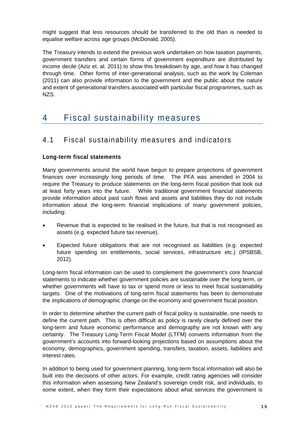might suggest that less resources should be transferred to the old than is needed to equalise welfare across age groups (McDonald, 2005).

The Treasury intends to extend the previous work undertaken on how taxation payments, government transfers and certain forms of government expenditure are distributed by income decile (Aziz et. al. 2011) to show this breakdown by age, and how it has changed through time. Other forms of inter-generational analysis, such as the work by Coleman (2011) can also provide information to the government and the public about the nature and extent of generational transfers associated with particular fiscal programmes, such as NZS.

## 4 Fiscal sustainability measures

### 4.1 Fiscal sustainability measures and indicators

#### **Long-term fiscal statements**

Many governments around the world have begun to prepare projections of government finances over increasingly long periods of time. The PFA was amended in 2004 to require the Treasury to produce statements on the long-term fiscal position that look out at least forty years into the future. While traditional government financial statements provide information about past cash flows and assets and liabilities they do not include information about the long-term financial implications of many government policies, including:

- Revenue that is expected to be realised in the future, but that is not recognised as assets (e.g. expected future tax revenue).
- Expected future obligations that are not recognised as liabilities (e.g. expected future spending on entitlements, social services, infrastructure etc.) (IPSBSB, 2012).

Long-term fiscal information can be used to complement the government's core financial statements to indicate whether government policies are sustainable over the long term, or whether governments will have to tax or spend more or less to meet fiscal sustainability targets. One of the motivations of long-term fiscal statements has been to demonstrate the implications of demographic change on the economy and government fiscal position.

In order to determine whether the current path of fiscal policy is sustainable, one needs to define the current path. This is often difficult as policy is rarely clearly defined over the long-term and future economic performance and demography are not known with any certainty. The Treasury Long-Term Fiscal Model (LTFM) converts information from the government's accounts into forward-looking projections based on assumptions about the economy, demographics, government spending, transfers, taxation, assets, liabilities and interest rates.

In addition to being used for government planning, long-term fiscal information will also be built into the decisions of other actors. For example, credit rating agencies will consider this information when assessing New Zealand's sovereign credit risk, and individuals, to some extent, when they form their expectations about what services the government is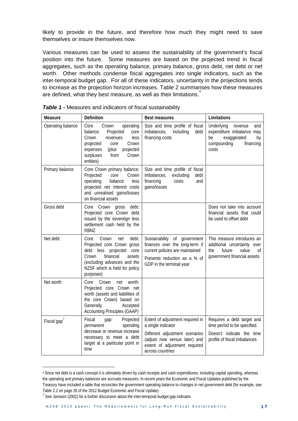likely to provide in the future, and therefore how much they might need to save themselves or insure themselves now.

Various measures can be used to assess the sustainability of the government's fiscal position into the future. Some measures are based on the projected trend in fiscal aggregates, such as the operating balance, primary balance, gross debt, net debt or net worth. Other methods condense fiscal aggregates into single indicators, such as the inter-temporal budget gap. For all of these indicators, uncertainty in the projections tends to increase as the projection horizon increases. Table 2 summarises how these measures are defined, what they best measure, as well as their limitations. $\degree$ 

| Measure           | Definition                                                                                                                                                                                           | <b>Best measures</b>                                                                                                                                                           | Limitations                                                                                                               |  |
|-------------------|------------------------------------------------------------------------------------------------------------------------------------------------------------------------------------------------------|--------------------------------------------------------------------------------------------------------------------------------------------------------------------------------|---------------------------------------------------------------------------------------------------------------------------|--|
| Operating balance | operating<br>Core<br>Crown<br>Projected<br>balance:<br>core<br>Crown<br>less<br>revenues<br>Crown<br>projected<br>core<br>projected<br>(plus<br>expenses<br>from<br>Crown<br>surpluses<br>entities)  | Size and time profile of fiscal<br>imbalances,<br>including<br>debt<br>financing costs                                                                                         | Underlying<br>revenue<br>and<br>expenditure imbalance may<br>be<br>exaggerated<br>by<br>compounding<br>financing<br>costs |  |
| Primary balance   | Core Crown primary balance:<br>Projected<br>core<br>Crown<br>operating<br>balance<br>less<br>projected net interest costs<br>and unrealised gains/losses<br>on financial assets                      | Size and time profile of fiscal<br>imbalances,<br>excluding<br>debt<br>financing<br>costs<br>and<br>gains/losses                                                               |                                                                                                                           |  |
| Gross debt        | debt:<br>Core Crown<br>gross<br>Projected core Crown debt<br>issued by the sovereign less<br>settlement cash held by the<br><b>RBNZ</b>                                                              |                                                                                                                                                                                | Does not take into account<br>financial assets that could<br>be used to offset debt                                       |  |
| Net debt          | Crown<br>debt:<br>Core<br>net<br>Projected core Crown gross<br>debt less projected core<br>financial<br>Crown<br>assets<br>(excluding advances and the<br>NZSF which is held for policy<br>purposes) | Sustainability of government<br>finances over the long-term if<br>current policies are maintained<br>Presents reduction as a % of<br>GDP in the terminal year                  | This measure introduces an<br>additional uncertainty over<br>future<br>value<br>the<br>Οf<br>government financial assets. |  |
| Net worth         | Core<br>Crown<br>worth:<br>net<br>Projected core Crown net<br>worth (assets and liabilities of<br>the core Crown) based on<br>Generally<br>Accepted<br><b>Accounting Principles (GAAP)</b>           |                                                                                                                                                                                |                                                                                                                           |  |
| Fiscal gap'       | Fiscal<br>Projected<br>gap:<br>spending<br>permanent<br>decrease or revenue increase<br>necessary to meet a debt<br>target at a particular point in<br>time                                          | Extent of adjustment required in<br>a single indicator<br>Different adjustment scenarios<br>(adjust now versus later) and<br>extent of adjustment required<br>across countries | Requires a debt target and<br>time period to be specified.<br>Doesn't indicate the time<br>profile of fiscal imbalances.  |  |

<span id="page-20-0"></span>

<span id="page-20-1"></span><sup>6</sup> Since net debt is a cash concept it is ultimately driven by cash receipts and cash expenditures, including capital spending, whereas the operating and primary balances are accruals measures. In recent years the Economic and Fiscal Updates published by the Treasury have included a table that reconciles the government operating balance to changes in net government debt (for example, see Table 2.2 on page 26 of the 2012 Budget Economic and Fiscal Update).

<span id="page-20-2"></span> $<sup>7</sup>$  See Janssen (2002) for a further discussion about the inter-temporal budget gap indicator.</sup>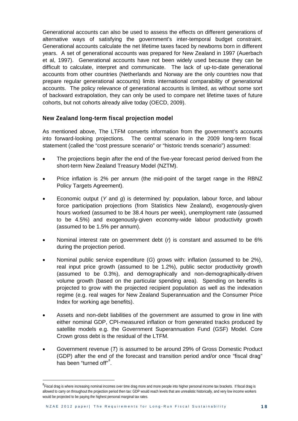Generational accounts can also be used to assess the effects on different generations of alternative ways of satisfying the government's inter-temporal budget constraint. Generational accounts calculate the net lifetime taxes faced by newborns born in different years. A set of generational accounts was prepared for New Zealand in 1997 (Auerbach et al, 1997). Generational accounts have not been widely used because they can be difficult to calculate, interpret and communicate. The lack of up-to-date generational accounts from other countries (Netherlands and Norway are the only countries now that prepare regular generational accounts) limits international comparability of generational accounts. The policy relevance of generational accounts is limited, as without some sort of backward extrapolation, they can only be used to compare net lifetime taxes of future cohorts, but not cohorts already alive today (OECD, 2009).

#### **New Zealand long-term fiscal projection model**

As mentioned above, The LTFM converts information from the government's accounts into forward-looking projections*.* The central scenario in the 2009 long-term fiscal statement (called the "cost pressure scenario" or "historic trends scenario") assumed:

- The projections begin after the end of the five-year forecast period derived from the short-term New Zealand Treasury Model (NZTM).
- Price inflation is 2% per annum (the mid-point of the target range in the RBNZ Policy Targets Agreement).
- Economic output (*Y* and *g*) is determined by: population, labour force, and labour force participation projections (from Statistics New Zealand), exoge*n*ously*-*given hours worked (assumed to be 38.4 hours per week), unemployment rate (assumed to be 4.5%) and exogenously-given economy-wide labour productivity growth (assumed to be 1.5% per annum).
- Nominal interest rate on government debt (*r*) is constant and assumed to be 6% during the projection period.
- Nominal public service expenditure (*G*) grows with: inflation (assumed to be 2%), real input price growth (assumed to be 1.2%), public sector productivity growth (assumed to be 0.3%), and demographically and non-demographically-driven volume growth (based on the particular spending area). Spending on benefits is projected to grow with the projected recipient population as well as the indexation regime (e.g. real wages for New Zealand Superannuation and the Consumer Price Index for working age benefits).
- Assets and non-debt liabilities of the government are assumed to grow in line with either nominal GDP, CPI-measured inflation or from generated tracks produced by satellite models e.g. the Government Superannuation Fund (GSF) Model. Core Crown gross debt is the residual of the LTFM.
- Government revenue (*T*) is assumed to be around 29% of Gross Domestic Product (GDP) after the end of the forecast and transition period and/or once "fiscal drag" has been "turned off"<sup>[8](#page-21-0)</sup>.

<span id="page-21-0"></span><sup>&</sup>lt;sup>8</sup>Fiscal drag is where increasing nominal incomes over time drag more and more people into higher personal income tax brackets. If fiscal drag is allowed to carry on throughout the projection period then tax: GDP would reach levels that are unrealistic historically, and very low income workers would be projected to be paying the highest personal marginal tax rates.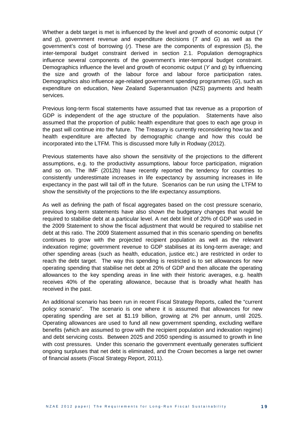Whether a debt target is met is influenced by the level and growth of economic output (*Y* and *g*), government revenue and expenditure decisions (*T* and *G*) as well as the government's cost of borrowing (*r*). These are the components of expression (5), the inter-temporal budget constraint derived in section 2.1. Population demographics influence several components of the government's inter-temporal budget constraint. Demographics influence the level and growth of economic output (*Y* and *g*) by influencing the size and growth of the labour force and labour force participation rates. Demographics also influence age-related government spending programmes (*G*), such as expenditure on education, New Zealand Superannuation (NZS) payments and health services.

Previous long-term fiscal statements have assumed that tax revenue as a proportion of GDP is independent of the age structure of the population. Statements have also assumed that the proportion of public health expenditure that goes to each age group in the past will continue into the future. The Treasury is currently reconsidering how tax and health expenditure are affected by demographic change and how this could be incorporated into the LTFM. This is discussed more fully in Rodway (2012).

Previous statements have also shown the sensitivity of the projections to the different assumptions, e.g. to the productivity assumptions, labour force participation, migration and so on. The IMF (2012b) have recently reported the tendency for countries to consistently underestimate increases in life expectancy by assuming increases in life expectancy in the past will tail off in the future. Scenarios can be run using the LTFM to show the sensitivity of the projections to the life expectancy assumptions.

As well as defining the path of fiscal aggregates based on the cost pressure scenario, previous long-term statements have also shown the budgetary changes that would be required to stabilise debt at a particular level. A net debt limit of 20% of GDP was used in the 2009 Statement to show the fiscal adjustment that would be required to stabilise net debt at this ratio. The 2009 Statement assumed that in this scenario spending on benefits continues to grow with the projected recipient population as well as the relevant indexation regime; government revenue to GDP stabilises at its long-term average; and other spending areas (such as health, education, justice etc.) are restricted in order to reach the debt target. The way this spending is restricted is to set allowances for new operating spending that stabilise net debt at 20% of GDP and then allocate the operating allowances to the key spending areas in line with their historic averages, e.g. health receives 40% of the operating allowance, because that is broadly what health has received in the past.

An additional scenario has been run in recent Fiscal Strategy Reports, called the "current policy scenario". The scenario is one where it is assumed that allowances for new operating spending are set at \$1.19 billion, growing at 2% per annum, until 2025. Operating allowances are used to fund all new government spending, excluding welfare benefits (which are assumed to grow with the recipient population and indexation regime) and debt servicing costs. Between 2025 and 2050 spending is assumed to growth in line with cost pressures. Under this scenario the government eventually generates sufficient ongoing surpluses that net debt is eliminated, and the Crown becomes a large net owner of financial assets (Fiscal Strategy Report, 2011).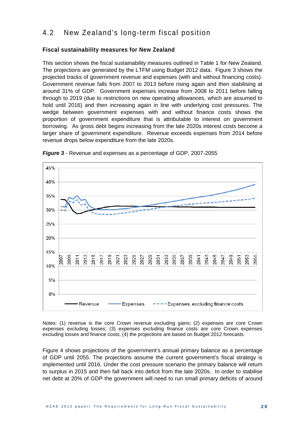### 4.2 New Zealand's long-term fiscal position

#### **Fiscal sustainability measures for New Zealand**

This section shows the fiscal sustainability measures outlined in Table 1 for New Zealand. The projections are generated by the LTFM using Budget 2012 data. Figure 3 shows the projected tracks of government revenue and expenses (with and without financing costs). Government revenue falls from 2007 to 2013 before rising again and then stabilising at around 31% of GDP. Government expenses increase from 2008 to 2011 before falling through to 2019 (due to restrictions on new operating allowances, which are assumed to hold until 2016) and then increasing again in line with underlying cost pressures. The wedge between government expenses with and without finance costs shows the proportion of government expenditure that is attributable to interest on government borrowing. As gross debt begins increasing from the late 2020s interest costs become a larger share of government expenditure. Revenue exceeds expenses from 2014 before revenue drops below expenditure from the late 2020s.



<span id="page-23-0"></span>*Figure 3* - Revenue and expenses as a percentage of GDP, 2007-2055

Notes: (1) revenue is the core Crown revenue excluding gains; (2) expenses are core Crown expenses excluding losses; (3) expenses excluding finance costs are core Crown expenses excluding losses and finance costs; (4) the projections are based on Budget 2012 forecasts

Figure 4 shows projections of the government's annual primary balance as a percentage of GDP until 2055. The projections assume the current government's fiscal strategy is implemented until 2016. Under the cost pressure scenario the primary balance will return to surplus in 2015 and then fall back into deficit from the late 2020s. In order to stabilise net debt at 20% of GDP the government will need to run small primary deficits of around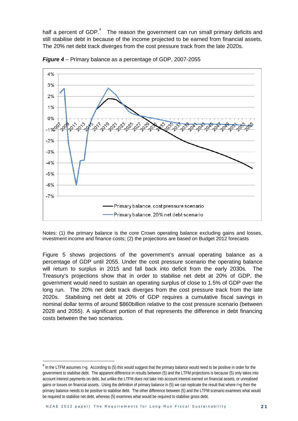half a percent of GDP.<sup>[9](#page-24-1)</sup> The reason the government can run small primary deficits and still stabilise debt in because of the income projected to be earned from financial assets. The 20% net debt track diverges from the cost pressure track from the late 2020s.



<span id="page-24-0"></span>*Figure 4* – Primary balance as a percentage of GDP, 2007-2055

Notes: (1) the primary balance is the core Crown operating balance excluding gains and losses, investment income and finance costs; (2) the projections are based on Budget 2012 forecasts

Figure 5 shows projections of the government's annual operating balance as a percentage of GDP until 2055. Under the cost pressure scenario the operating balance will return to surplus in 2015 and fall back into deficit from the early 2030s. The Treasury's projections show that in order to stabilise net debt at 20% of GDP, the government would need to sustain an operating surplus of close to 1.5% of GDP over the long run. The 20% net debt track diverges from the cost pressure track from the late 2020s. Stabilising net debt at 20% of GDP requires a cumulative fiscal savings in nominal dollar terms of around \$860billion relative to the cost pressure scenario (between 2028 and 2055). A significant portion of that represents the difference in debt financing costs between the two scenarios.

1

<span id="page-24-1"></span><sup>&</sup>lt;sup>9</sup> In the LTFM assumes r>g. According to (5) this would suggest that the primary balance would need to be positive in order for the government to stabilise debt. The apparent difference in results between (5) and the LTFM projections is because (5) only takes into account interest payments on debt, but unlike the LTFM does not take into account interest earned on financial assets, or unrealised gains or losses on financial assets. Using the definition of primary balance in (5) we can replicate the result that where  $r > q$  then the primary balance needs to be positive to stabilise debt. The other difference between (5) and the LTFM scenario examines what would be required to stabilise net debt, whereas (5) examines what would be required to stabilise gross debt.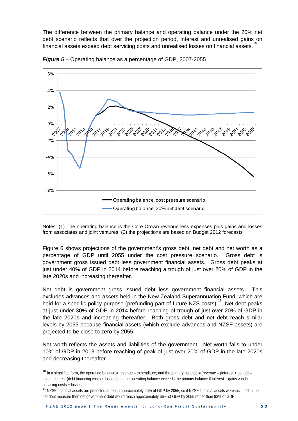The difference between the primary balance and operating balance under the 20% net debt scenario reflects that over the projection period, interest and unrealised gains on financial assets exceed debt servicing costs and unrealised losses on financial assets.



*Figure 5* – Operating balance as a percentage of GDP, 2007-2055

Notes: (1) The operating balance is the Core Crown revenue less expenses plus gains and losses from associates and joint ventures; (2) the projections are based on Budget 2012 forecasts

Figure 6 shows projections of the government's gross debt, net debt and net worth as a percentage of GDP until 2055 under the cost pressure scenario. Gross debt is government gross issued debt less government financial assets. Gross debt peaks at just under 40% of GDP in 2014 before reaching a trough of just over 20% of GDP in the late 2020s and increasing thereafter.

Net debt is government gross issued debt less government financial assets. This excludes advances and assets held in the New Zealand Superannuation Fund, which are held for a specific policy purpose (prefunding part of future NZS costs).<sup>[11](#page-25-1)</sup> Net debt peaks at just under 30% of GDP in 2014 before reaching of trough of just over 20% of GDP in the late 2020s and increasing thereafter. Both gross debt and net debt reach similar levels by 2055 because financial assets (which exclude advances and NZSF assets) are projected to be close to zero by 2055.

Net worth reflects the assets and liabilities of the government. Net worth falls to under 10% of GDP in 2013 before reaching of peak of just over 20% of GDP in the late 2020s and decreasing thereafter.

<span id="page-25-0"></span><sup>&</sup>lt;sup>10</sup> In a simplified form, the operating balance = revenue – expenditure; and the primary balance = [revenue – (interest + gains)] – [expenditure – (debt financing costs + losses)]; so the operating balance exceeds the primary balance if interest + gains > debt servicing costs + losses.

<span id="page-25-1"></span><sup>&</sup>lt;sup>11</sup> NZSF financial assets are projected to reach approximately 26% of GDP by 2055, so if NZSF financial assets were included in the net debt measure then net government debt would reach approximately 66% of GDP by 2055 rather than 93% of GDP.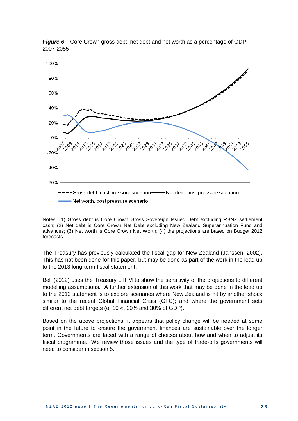

<span id="page-26-0"></span>*Figure 6* – Core Crown gross debt, net debt and net worth as a percentage of GDP, 2007-2055

Notes: (1) Gross debt is Core Crown Gross Sovereign Issued Debt excluding RBNZ settlement cash; (2) Net debt is Core Crown Net Debt excluding New Zealand Superannuation Fund and advances; (3) Net worth is Core Crown Net Worth; (4) the projections are based on Budget 2012 forecasts

The Treasury has previously calculated the fiscal gap for New Zealand (Janssen, 2002). This has not been done for this paper, but may be done as part of the work in the lead up to the 2013 long-term fiscal statement.

Bell (2012) uses the Treasury LTFM to show the sensitivity of the projections to different modelling assumptions. A further extension of this work that may be done in the lead up to the 2013 statement is to explore scenarios where New Zealand is hit by another shock similar to the recent Global Financial Crisis (GFC); and where the government sets different net debt targets (of 10%, 20% and 30% of GDP).

Based on the above projections, it appears that policy change will be needed at some point in the future to ensure the government finances are sustainable over the longer term. Governments are faced with a range of choices about how and when to adjust its fiscal programme. We review those issues and the type of trade-offs governments will need to consider in section 5.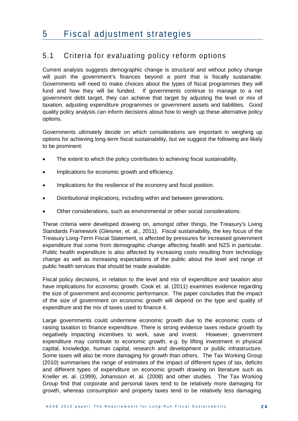### 5.1 Criteria for evaluating policy reform options

Current analysis suggests demographic change is structural and without policy change will push the government's finances beyond a point that is fiscally sustainable. Governments will need to make choices about the types of fiscal programmes they will fund and how they will be funded. If governments continue to manage to a net government debt target, they can achieve that target by adjusting the level or mix of taxation, adjusting expenditure programmes or government assets and liabilities. Good quality policy analysis can inform decisions about how to weigh up these alternative policy options.

Governments ultimately decide on which considerations are important in weighing up options for achieving long-term fiscal sustainability, but we suggest the following are likely to be prominent:

- The extent to which the policy contributes to achieving fiscal sustainability.
- Implications for economic growth and efficiency.
- Implications for the resilience of the economy and fiscal position.
- Distributional implications, including within and between generations.
- Other considerations, such as environmental or other social considerations.

These criteria were developed drawing on, amongst other things, the Treasury's Living Standards Framework (Gleisner, et. al., 2011). Fiscal sustainability, the key focus of the Treasury Long-Term Fiscal Statement, is affected by pressures for increased government expenditure that come from demographic change affecting health and NZS in particular. Public health expenditure is also affected by increasing costs resulting from technology change as well as increasing expectations of the public about the level and range of public health services that should be made available.

Fiscal policy decisions, in relation to the level and mix of expenditure and taxation also have implications for economic growth. Cook et. al. (2011) examines evidence regarding the size of government and economic performance. The paper concludes that the impact of the size of government on economic growth will depend on the type and quality of expenditure and the mix of taxes used to finance it.

Large governments could undermine economic growth due to the economic costs of raising taxation to finance expenditure. There is strong evidence taxes reduce growth by negatively impacting incentives to work, save and invest. However, government expenditure may contribute to economic growth, e.g. by lifting investment in physical capital, knowledge, human capital, research and development or public infrastructure. Some taxes will also be more damaging for growth than others. The Tax Working Group (2010) summarises the range of estimates of the impact of different types of tax, deficits and different types of expenditure on economic growth drawing on literature such as Kneller et. al. (1999), Johansson et. al. (2008) and other studies. The Tax Working Group find that corporate and personal taxes tend to be relatively more damaging for growth, whereas consumption and property taxes tend to be relatively less damaging.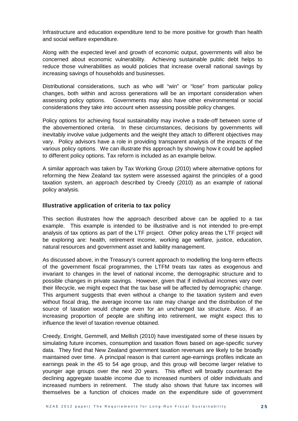Infrastructure and education expenditure tend to be more positive for growth than health and social welfare expenditure.

Along with the expected level and growth of economic output, governments will also be concerned about economic vulnerability. Achieving sustainable public debt helps to reduce those vulnerabilities as would policies that increase overall national savings by increasing savings of households and businesses.

Distributional considerations, such as who will "win" or "lose" from particular policy changes, both within and across generations will be an important consideration when assessing policy options. Governments may also have other environmental or social considerations they take into account when assessing possible policy changes.

Policy options for achieving fiscal sustainability may involve a trade-off between some of the abovementioned criteria. In these circumstances, decisions by governments will inevitably involve value judgements and the weight they attach to different objectives may vary. Policy advisors have a role in providing transparent analysis of the impacts of the various policy options. We can illustrate this approach by showing how it could be applied to different policy options. Tax reform is included as an example below.

A similar approach was taken by Tax Working Group (2010) where alternative options for reforming the New Zealand tax system were assessed against the principles of a good taxation system, an approach described by Creedy (2010) as an example of rational policy analysis.

#### **Illustrative application of criteria to tax policy**

This section illustrates how the approach described above can be applied to a tax example. This example is intended to be illustrative and is not intended to pre-empt analysis of tax options as part of the LTF project. Other policy areas the LTF project will be exploring are: health, retirement income, working age welfare, justice, education, natural resources and government asset and liability management.

As discussed above, in the Treasury's current approach to modelling the long-term effects of the government fiscal programmes, the LTFM treats tax rates as exogenous and invariant to changes in the level of national income, the demographic structure and to possible changes in private savings. However, given that if individual incomes vary over their lifecycle, we might expect that the tax base will be affected by demographic change. This argument suggests that even without a change to the taxation system and even without fiscal drag, the average income tax rate may change and the distribution of the source of taxation would change even for an unchanged tax structure. Also, if an increasing proportion of people are shifting into retirement, we might expect this to influence the level of taxation revenue obtained.

Creedy, Enright, Gemmell, and Mellish (2010) have investigated some of these issues by simulating future incomes, consumption and taxation flows based on age-specific survey data. They find that New Zealand government taxation revenues are likely to be broadly maintained over time. A principal reason is that current age-earnings profiles indicate an earnings peak in the 45 to 54 age group, and this group will become larger relative to younger age groups over the next 20 years. This effect will broadly counteract the declining aggregate taxable income due to increased numbers of older individuals and increased numbers in retirement. The study also shows that future tax incomes will themselves be a function of choices made on the expenditure side of government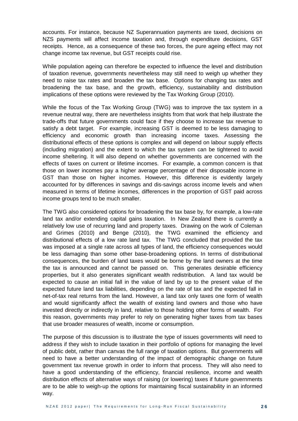accounts. For instance, because NZ Superannuation payments are taxed, decisions on NZS payments will affect income taxation and, through expenditure decisions, GST receipts. Hence, as a consequence of these two forces, the pure ageing effect may not change income tax revenue, but GST receipts could rise.

While population ageing can therefore be expected to influence the level and distribution of taxation revenue, governments nevertheless may still need to weigh up whether they need to raise tax rates and broaden the tax base. Options for changing tax rates and broadening the tax base, and the growth, efficiency, sustainability and distribution implications of these options were reviewed by the Tax Working Group (2010).

While the focus of the Tax Working Group (TWG) was to improve the tax system in a revenue neutral way, there are nevertheless insights from that work that help illustrate the trade-offs that future governments could face if they choose to increase tax revenue to satisfy a debt target. For example, increasing GST is deemed to be less damaging to efficiency and economic growth than increasing income taxes. Assessing the distributional effects of these options is complex and will depend on labour supply effects (including migration) and the extent to which the tax system can be tightened to avoid income sheltering. It will also depend on whether governments are concerned with the effects of taxes on current or lifetime incomes. For example, a common concern is that those on lower incomes pay a higher average percentage of their disposable income in GST than those on higher incomes. However, this difference is evidently largely accounted for by differences in savings and dis-savings across income levels and when measured in terms of lifetime incomes, differences in the proportion of GST paid across income groups tend to be much smaller.

The TWG also considered options for broadening the tax base by, for example, a low-rate land tax and/or extending capital gains taxation. In New Zealand there is currently a relatively low use of recurring land and property taxes. Drawing on the work of Coleman and Grimes (2010) and Benge (2010), the TWG examined the efficiency and distributional effects of a low rate land tax. The TWG concluded that provided the tax was imposed at a single rate across all types of land, the efficiency consequences would be less damaging than some other base-broadening options. In terms of distributional consequences, the burden of land taxes would be borne by the land owners at the time the tax is announced and cannot be passed on. This generates desirable efficiency properties, but it also generates significant wealth redistribution. A land tax would be expected to cause an initial fall in the value of land by up to the present value of the expected future land tax liabilities, depending on the rate of tax and the expected fall in net-of-tax real returns from the land. However, a land tax only taxes one form of wealth and would significantly affect the wealth of existing land owners and those who have invested directly or indirectly in land, relative to those holding other forms of wealth. For this reason, governments may prefer to rely on generating higher taxes from tax bases that use broader measures of wealth, income or consumption.

The purpose of this discussion is to illustrate the type of issues governments will need to address if they wish to include taxation in their portfolio of options for managing the level of public debt, rather than canvas the full range of taxation options. But governments will need to have a better understanding of the impact of demographic change on future government tax revenue growth in order to inform that process. They will also need to have a good understanding of the efficiency, financial resilience, income and wealth distribution effects of alternative ways of raising (or lowering) taxes if future governments are to be able to weigh-up the options for maintaining fiscal sustainability in an informed way.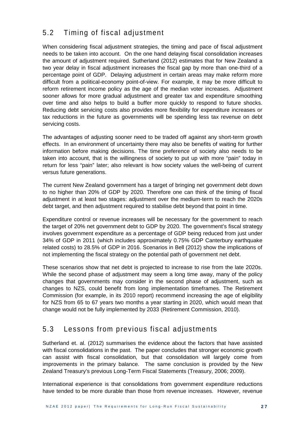### 5.2 Timing of fiscal adjustment

When considering fiscal adjustment strategies, the timing and pace of fiscal adjustment needs to be taken into account. On the one hand delaying fiscal consolidation increases the amount of adjustment required. Sutherland (2012) estimates that for New Zealand a two year delay in fiscal adjustment increases the fiscal gap by more than one-third of a percentage point of GDP. Delaying adjustment in certain areas may make reform more difficult from a political-economy point-of-view. For example, it may be more difficult to reform retirement income policy as the age of the median voter increases. Adjustment sooner allows for more gradual adjustment and greater tax and expenditure smoothing over time and also helps to build a buffer more quickly to respond to future shocks. Reducing debt servicing costs also provides more flexibility for expenditure increases or tax reductions in the future as governments will be spending less tax revenue on debt servicing costs.

The advantages of adjusting sooner need to be traded off against any short-term growth effects. In an environment of uncertainty there may also be benefits of waiting for further information before making decisions. The time preference of society also needs to be taken into account, that is the willingness of society to put up with more "pain" today in return for less "pain" later; also relevant is how society values the well-being of current versus future generations.

The current New Zealand government has a target of bringing net government debt down to no higher than 20% of GDP by 2020. Therefore one can think of the timing of fiscal adjustment in at least two stages: adjustment over the medium-term to reach the 2020s debt target, and then adjustment required to stabilise debt beyond that point in time.

Expenditure control or revenue increases will be necessary for the government to reach the target of 20% net government debt to GDP by 2020. The government's fiscal strategy involves government expenditure as a percentage of GDP being reduced from just under 34% of GDP in 2011 (which includes approximately 0.75% GDP Canterbury earthquake related costs) to 28.5% of GDP in 2016. Scenarios in Bell (2012) show the implications of not implementing the fiscal strategy on the potential path of government net debt.

These scenarios show that net debt is projected to increase to rise from the late 2020s. While the second phase of adjustment may seem a long time away, many of the policy changes that governments may consider in the second phase of adjustment, such as changes to NZS, could benefit from long implementation timeframes. The Retirement Commission (for example, in its 2010 report) recommend increasing the age of eligibility for NZS from 65 to 67 years two months a year starting in 2020, which would mean that change would not be fully implemented by 2033 (Retirement Commission, 2010).

### 5.3 Lessons from previous fiscal adjustments

Sutherland et. al. (2012) summarises the evidence about the factors that have assisted with fiscal consolidations in the past. The paper concludes that stronger economic growth can assist with fiscal consolidation, but that consolidation will largely come from improvements in the primary balance. The same conclusion is provided by the New Zealand Treasury's previous Long-Term Fiscal Statements (Treasury, 2006; 2009).

International experience is that consolidations from government expenditure reductions have tended to be more durable than those from revenue increases. However, revenue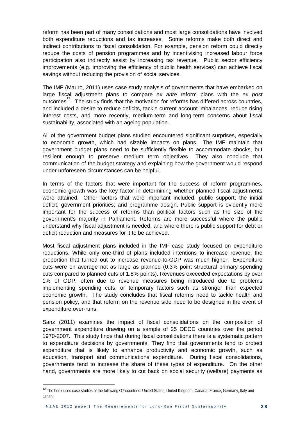reform has been part of many consolidations and most large consolidations have involved both expenditure reductions and tax increases. Some reforms make both direct and indirect contributions to fiscal consolidation. For example, pension reform could directly reduce the costs of pension programmes and by incentivising increased labour force participation also indirectly assist by increasing tax revenue. Public sector efficiency improvements (e.g. improving the efficiency of public health services) can achieve fiscal savings without reducing the provision of social services.

The IMF (Mauro, 2011) uses case study analysis of governments that have embarked on large fiscal adjustment plans to compare *ex ante* reform plans with the *ex post* outcomes $12$ . The study finds that the motivation for reforms has differed across countries, and included a desire to reduce deficits, tackle current account imbalances, reduce rising interest costs, and more recently, medium-term and long-term concerns about fiscal sustainability, associated with an ageing population.

All of the government budget plans studied encountered significant surprises, especially to economic growth, which had sizable impacts on plans. The IMF maintain that government budget plans need to be sufficiently flexible to accommodate shocks, but resilient enough to preserve medium term objectives. They also conclude that communication of the budget strategy and explaining how the government would respond under unforeseen circumstances can be helpful.

In terms of the factors that were important for the success of reform programmes, economic growth was the key factor in determining whether planned fiscal adjustments were attained. Other factors that were important included: public support; the initial deficit; government priorities; and programme design. Public support is evidently more important for the success of reforms than political factors such as the size of the government's majority in Parliament. Reforms are more successful where the public understand why fiscal adjustment is needed, and where there is public support for debt or deficit reduction and measures for it to be achieved.

Most fiscal adjustment plans included in the IMF case study focused on expenditure reductions. While only one-third of plans included intentions to increase revenue, the proportion that turned out to increase revenue-to-GDP was much higher. Expenditure cuts were on average not as large as planned (0.3% point structural primary spending cuts compared to planned cuts of 1.8% points). Revenues exceeded expectations by over 1% of GDP, often due to revenue measures being introduced due to problems implementing spending cuts, or temporary factors such as stronger than expected economic growth. The study concludes that fiscal reforms need to tackle health and pension policy, and that reform on the revenue side need to be designed in the event of expenditure over-runs.

Sanz (2011) examines the impact of fiscal consolidations on the composition of government expenditure drawing on a sample of 25 OECD countries over the period 1970-2007. This study finds that during fiscal consolidations there is a systematic pattern to expenditure decisions by governments. They find that governments tend to protect expenditure that is likely to enhance productivity and economic growth, such as education, transport and communications expenditure. During fiscal consolidations, governments tend to increase the share of these types of expenditure. On the other hand, governments are more likely to cut back on social security (welfare) payments as

<span id="page-31-0"></span><sup>&</sup>lt;sup>12</sup> The book uses case studies of the following G7 countries: United States, United Kingdom, Canada, France, Germany, Italy and Japan.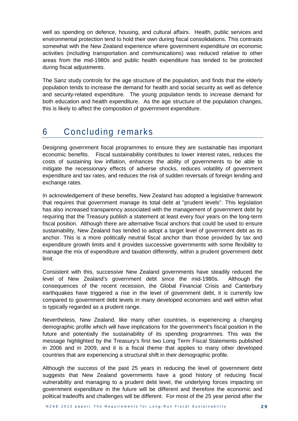well as spending on defence, housing, and cultural affairs. Health, public services and environmental protection tend to hold their own during fiscal consolidations. This contrasts somewhat with the New Zealand experience where government expenditure on economic activities (including transportation and communications) was reduced relative to other areas from the mid-1980s and public health expenditure has tended to be protected during fiscal adjustments.

The Sanz study controls for the age structure of the population, and finds that the elderly population tends to increase the demand for health and social security as well as defence and security-related expenditure. The young population tends to increase demand for both education and health expenditure. As the age structure of the population changes, this is likely to affect the composition of government expenditure.

# 6 Concluding remarks

Designing government fiscal programmes to ensure they are sustainable has important economic benefits. Fiscal sustainability contributes to lower interest rates, reduces the costs of sustaining low inflation, enhances the ability of governments to be able to mitigate the recessionary effects of adverse shocks, reduces volatility of government expenditure and tax rates, and reduces the risk of sudden reversals of foreign lending and exchange rates.

In acknowledgement of these benefits, New Zealand has adopted a legislative framework that requires that government manage its total debt at "prudent levels". This legislation has also increased transparency associated with the management of government debt by requiring that the Treasury publish a statement at least every four years on the long-term fiscal position. Although there are alternative fiscal anchors that could be used to ensure sustainability, New Zealand has tended to adopt a target level of government debt as its anchor. This is a more politically neutral fiscal anchor than those provided by tax and expenditure growth limits and it provides successive governments with some flexibility to manage the mix of expenditure and taxation differently, within a prudent government debt limit.

Consistent with this, successive New Zealand governments have steadily reduced the level of New Zealand's government debt since the mid-1980s. Although the consequences of the recent recession, the Global Financial Crisis and Canterbury earthquakes have triggered a rise in the level of government debt, it is currently low compared to government debt levels in many developed economies and well within what is typically regarded as a prudent range.

Nevertheless, New Zealand, like many other countries, is experiencing a changing demographic profile which will have implications for the government's fiscal position in the future and potentially the sustainability of its spending programmes. This was the message highlighted by the Treasury's first two Long Term Fiscal Statements published in 2006 and in 2009, and it is a fiscal theme that applies to many other developed countries that are experiencing a structural shift in their demographic profile.

Although the success of the past 25 years in reducing the level of government debt suggests that New Zealand governments have a good history of reducing fiscal vulnerability and managing to a prudent debt level, the underlying forces impacting on government expenditure in the future will be different and therefore the economic and political tradeoffs and challenges will be different. For most of the 25 year period after the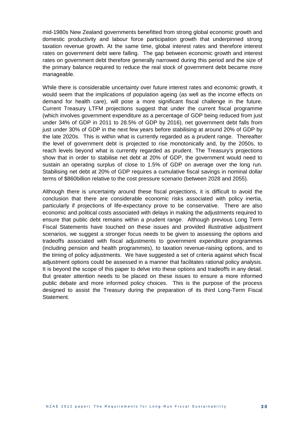mid-1980s New Zealand governments benefitted from strong global economic growth and domestic productivity and labour force participation growth that underpinned strong taxation revenue growth. At the same time, global interest rates and therefore interest rates on government debt were falling. The gap between economic growth and interest rates on government debt therefore generally narrowed during this period and the size of the primary balance required to reduce the real stock of government debt became more manageable.

While there is considerable uncertainty over future interest rates and economic growth, it would seem that the implications of population ageing (as well as the income effects on demand for health care), will pose a more significant fiscal challenge in the future. Current Treasury LTFM projections suggest that under the current fiscal programme (which involves government expenditure as a percentage of GDP being reduced from just under 34% of GDP in 2011 to 28.5% of GDP by 2016), net government debt falls from just under 30% of GDP in the next few years before stabilising at around 20% of GDP by the late 2020s. This is within what is currently regarded as a prudent range. Thereafter the level of government debt is projected to rise monotonically and, by the 2050s, to reach levels beyond what is currently regarded as prudent. The Treasury's projections show that in order to stabilise net debt at 20% of GDP, the government would need to sustain an operating surplus of close to 1.5% of GDP on average over the long run. Stabilising net debt at 20% of GDP requires a cumulative fiscal savings in nominal dollar terms of \$860billion relative to the cost pressure scenario (between 2028 and 2055).

Although there is uncertainty around these fiscal projections, it is difficult to avoid the conclusion that there are considerable economic risks associated with policy inertia, particularly if projections of life-expectancy prove to be conservative. There are also economic and political costs associated with delays in making the adjustments required to ensure that public debt remains within a prudent range. Although previous Long Term Fiscal Statements have touched on these issues and provided illustrative adjustment scenarios, we suggest a stronger focus needs to be given to assessing the options and tradeoffs associated with fiscal adjustments to government expenditure programmes (including pension and health programmes), to taxation revenue-raising options, and to the timing of policy adjustments. We have suggested a set of criteria against which fiscal adjustment options could be assessed in a manner that facilitates rational policy analysis. It is beyond the scope of this paper to delve into these options and tradeoffs in any detail. But greater attention needs to be placed on these issues to ensure a more informed public debate and more informed policy choices. This is the purpose of the process designed to assist the Treasury during the preparation of its third Long-Term Fiscal Statement.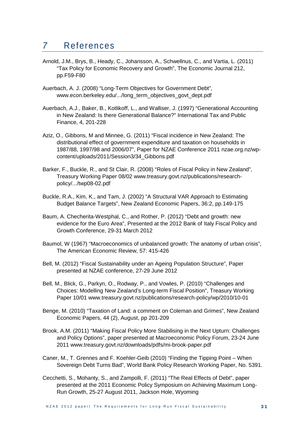## *7* References

- Arnold, J.M., Brys, B., Heady, C., Johansson, A., Schwellnus, C., and Vartia, L. (2011) "Tax Policy for Economic Recovery and Growth", The Economic Journal 212, pp.F59-F80
- Auerbach, A. J. (2008) "Long-Term Objectives for Government Debt", [www.econ.berkeley.edu/.../long\\_term\\_objectives\\_govt\\_dept.pdf](http://www.econ.berkeley.edu/.../long_term_objectives_govt_dept.pdf)
- Auerbach, A.J., Baker, B., Kotlikoff, L., and Walliser, J. (1997) "Generational Accounting in New Zealand: Is there Generational Balance?" International Tax and Public Finance, 4, 201-228
- Aziz, O., Gibbons, M and Minnee, G. (2011) "Fiscal incidence in New Zealand: The distributional effect of government expenditure and taxation on households in 1987/88, 1997/98 and 2006/07", Paper for NZAE Conference 2011 nzae.org.nz/wpcontent/uploads/2011/Session3/34\_Gibbons.pdf
- Barker, F., Buckle, R., and St Clair, R. (2008) "Roles of Fiscal Policy in New Zealand", Treasury Working Paper 08/02 www.treasury.govt.nz/publications/researchpolicy/.../twp08-02.pdf
- Buckle, R.A., Kim, K., and Tam, J. (2002) "A Structural VAR Approach to Estimating Budget Balance Targets", New Zealand Economic Papers, 36:2, pp.149-175
- Baum, A. Checherita-Westphal, C., and Rother, P. (2012) "Debt and growth: new evidence for the Euro Area", Presented at the 2012 Bank of Italy Fiscal Policy and Growth Conference, 29-31 March 2012
- Baumol, W (1967) "Macroeconomics of unbalanced growth: The anatomy of urban crisis", The American Economic Review, 57: 415-426
- Bell, M. (2012) "Fiscal Sustainability under an Ageing Population Structure", Paper presented at NZAE conference, 27-29 June 2012
- Bell, M., Blick, G., Parkyn, O., Rodway, P., and Vowles, P. (2010) "Challenges and Choices: Modelling New Zealand's Long-term Fiscal Position", Treasury Working Paper 10/01 [www.treasury.govt.nz/publications/research-policy/wp/2010/10-01](http://www.treasury.govt.nz/publications/research-policy/wp/2010/10-01)
- Benge, M. (2010) "Taxation of Land: a comment on Coleman and Grimes", New Zealand Economic Papers, 44 (2), August, pp 201-209
- Brook, A.M. (2011) "Making Fiscal Policy More Stabilising in the Next Upturn: Challenges and Policy Options", paper presented at Macroeconomic Policy Forum, 23-24 June 2011 [www.treasury.govt.nz/downloads/pdfs/mi-brook-paper.pdf](http://www.treasury.govt.nz/downloads/pdfs/mi-brook-paper.pdf)
- Caner, M., T. Grennes and F. Koehler-Geib (2010) "Finding the Tipping Point When Sovereign Debt Turns Bad", World Bank Policy Research Working Paper, No. 5391.
- Cecchetti, S., Mohanty, S., and Zampolli, F. (2011) "The Real Effects of Debt", paper presented at the 2011 Economic Policy Symposium on Achieving Maximum Long-Run Growth, 25-27 August 2011, Jackson Hole, Wyoming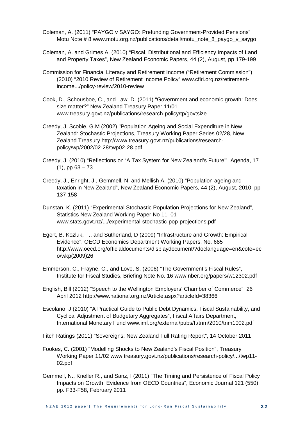- Coleman, A. (2011) "PAYGO v SAYGO: Prefunding Government-Provided Pensions" Motu Note # 8 www.motu.org.nz/publications/detail/motu\_note\_8\_paygo\_v\_saygo
- Coleman, A. and Grimes A. (2010) "Fiscal, Distributional and Efficiency Impacts of Land and Property Taxes", New Zealand Economic Papers, 44 (2), August, pp 179-199
- Commission for Financial Literacy and Retirement Income ("Retirement Commission") (2010) "2010 Review of Retirement Income Policy" [www.cflri.org.nz/retirement](http://www.cflri.org.nz/retirement-income.../policy-review/2010-review)[income.../policy-review/2010-review](http://www.cflri.org.nz/retirement-income.../policy-review/2010-review)
- Cook, D., Schousboe, C., and Law, D. (2011) "Government and economic growth: Does size matter?" New Zealand Treasury Paper 11/01 www.treasury.govt.nz/publications/research-policy/tp/govtsize
- Creedy, J. Scobie, G.M (2002) ["Population Ageing and Social Expenditure in New](http://ideas.repec.org/p/nzt/nztwps/02-28.html)  [Zealand: Stochastic Projections,](http://ideas.repec.org/p/nzt/nztwps/02-28.html) [Treasury Working Paper Series](http://ideas.repec.org/s/nzt/nztwps.html) 02/28, New Zealand Treasury [http://www.treasury.govt.nz/publications/research](http://www.treasury.govt.nz/publications/research-policy/wp/2002/02-28/twp02-28.pdf)[policy/wp/2002/02-28/twp02-28.pdf](http://www.treasury.govt.nz/publications/research-policy/wp/2002/02-28/twp02-28.pdf)
- Creedy, J. (2010) "Reflections on 'A Tax System for New Zealand's Future'", Agenda, 17  $(1)$ , pp  $63 - 73$
- Creedy, J., Enright, J., Gemmell, N. and Mellish A. (2010) "Population ageing and taxation in New Zealand", New Zealand Economic Papers, 44 (2), August, 2010, pp 137-158
- Dunstan, K. (2011) ["Experimental Stochastic Population Projections for New Zealand"](http://www.stats.govt.nz/surveys_and_methods/methods/research-papers/working-papers/experimental-stochastic-pop-projections-nz.aspx), Statistics New Zealand Working Paper No 11–01 www.stats.govt.nz/.../experimental-stochastic-pop-projections.pdf
- Egert, B. Kozluk, T., and Sutherland, D (2009) "Infrastructure and Growth: Empirical Evidence", OECD Economics Department Working Papers, No. 685 [http://www.oecd.org/officialdocuments/displaydocument/?doclanguage=en&cote=ec](http://www.oecd.org/officialdocuments/displaydocument/?doclanguage=en&cote=eco/wkp(2009)26) [o/wkp\(2009\)26](http://www.oecd.org/officialdocuments/displaydocument/?doclanguage=en&cote=eco/wkp(2009)26)
- Emmerson, C., Frayne, C., and Love, S. (2006) "The Government's Fiscal Rules", Institute for Fiscal Studies, Briefing Note No. 16 [www.nber.org/papers/w12302.pdf](http://www.nber.org/papers/w12302.pdf)
- English, Bill (2012) "Speech to the Wellington Employers' Chamber of Commerce", 26 April 2012 http://www.national.org.nz/Article.aspx?articleId=38366
- Escolano, J (2010) "A Practical Guide to Public Debt Dynamics, Fiscal Sustainability, and Cyclical Adjustment of Budgetary Aggregates", Fiscal Affairs Department, International Monetary Fund www.imf.org/external/pubs/ft/tnm/2010/tnm1002.pdf
- Fitch Ratings (2011) "Sovereigns: New Zealand Full Rating Report", 14 October 2011
- Fookes, C. (2001) "Modelling Shocks to New Zealand's Fiscal Position", Treasury Working Paper 11/02 www.treasury.govt.nz/publications/research-policy/.../twp11- 02.pdf
- Gemmell, N., Kneller R., and Sanz, I (2011) "The Timing and Persistence of Fiscal Policy Impacts on Growth: Evidence from OECD Countries", Economic Journal 121 (550), pp. F33-F58, February 2011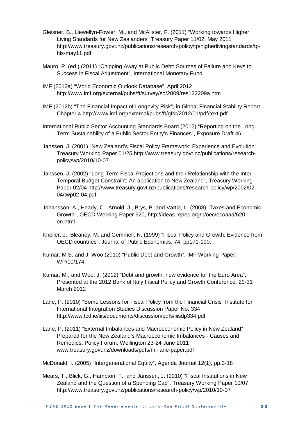- Gleisner, B., Llewellyn-Fowler, M., and McAlister, F. (2011) "Working towards Higher Living Standards for New Zealanders" Treasury Paper 11/02, May 2011 http://www.treasury.govt.nz/publications/research-policy/tp/higherlivingstandards/tphls-may11.pdf
- Mauro, P. (ed.) (2011) "Chipping Away at Public Debt: Sources of Failure and Keys to Success in Fiscal Adjustment", International Monetary Fund
- IMF (2012a) "World Economic Outlook Database", April 2012 http://www.imf.org/external/pubs/ft/survey/so/2009/res122209a.htm
- IMF (2012b) "The Financial Impact of Longevity Risk", in Global Financial Stability Report, Chapter 4 <http://www.imf.org/external/pubs/ft/gfsr/2012/01/pdf/text.pdf>
- International Public Sector Accounting Standards Board (2012) "Reporting on the Long-Term Sustainability of a Public Sector Entity's Finances", Exposure Draft 46
- Janssen, J. (2001) "New Zealand's Fiscal Policy Framework: Experience and Evolution" Treasury Working Paper 01/25 [http://www.treasury.govt.nz/publications/research](http://www.treasury.govt.nz/publications/research-policy/wp/2010/10-07)[policy/wp/2010/10-07](http://www.treasury.govt.nz/publications/research-policy/wp/2010/10-07)
- Janssen, J. (2002) "Long-Term Fiscal Projections and their Relationship with the Inter-Temporal Budget Constraint: An application to New Zealand", Treasury Working Paper 02/04 [http://www.treasury.govt.nz/publications/research-policy/wp/2002/02-](http://www.treasury.govt.nz/publications/research-policy/wp/2002/02-04/twp02-04.pdf) [04/twp02-04.pdf](http://www.treasury.govt.nz/publications/research-policy/wp/2002/02-04/twp02-04.pdf)
- Johansson, A., Heady, C., Arnold, J., Brys, B. and Vartia, L. (2008) "Taxes and Economic Growth", OECD Working Paper 620, [http://ideas.repec.org/p/oec/ecoaaa/620](http://ideas.repec.org/p/oec/ecoaaa/620-en.html) [en.html](http://ideas.repec.org/p/oec/ecoaaa/620-en.html)
- Kneller, J., Bleaney, M. and Gemmell, N. (1999) "Fiscal Policy and Growth: Evidence from OECD countries", Journal of Public Economics, 74, pp171-190.
- Kumar, M.S. and J. Woo (2010) "Public Debt and Growth", IMF Working Paper, WP/10/174.
- Kumar, M., and Woo, J. (2012) "Debt and growth: new evidence for the Euro Area", Presented at the 2012 Bank of Italy Fiscal Policy and Growth Conference, 29-31 March 2012
- Lane, P. (2010) "Some Lessons for Fiscal Policy from the Financial Crisis" Institute for International Integration Studies Discussion Paper No. 334 http://www.tcd.ie/iiis/documents/discussion/pdfs/iiisdp334.pdf
- Lane, P. (2011) "External Imbalances and Macroeconomic Policy in New Zealand" Prepared for the New Zealand's Macroeconomic Imbalances - Causes and Remedies: Policy Forum, Wellington 23-24 June 2011 [www.treasury.govt.nz/downloads/pdfs/mi-lane-paper.pdf](http://www.treasury.govt.nz/downloads/pdfs/mi-lane-paper.pdf)

McDonald, I. (2005) "Intergenerational Equity", Agenda Journal 12(1), pp.3-18

Mears, T., Blick, G., Hampton, T., and Janssen, J. (2010) "Fiscal Institutions in New Zealand and the Question of a Spending Cap", Treasury Working Paper 10/07 http://www.treasury.govt.nz/publications/research-policy/wp/2010/10-07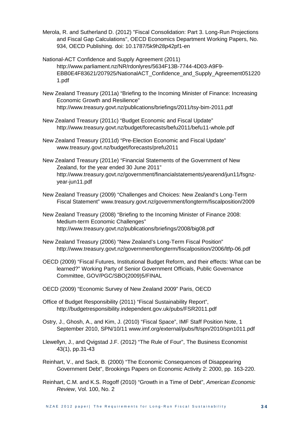- Merola, R. and Sutherland D. (2012) "Fiscal Consolidation: Part 3. Long-Run Projections and Fiscal Gap Calculations", OECD Economics Department Working Papers, No. 934, OECD Publishing. doi: [10.1787/5k9h28p42pf1-en](http://dx.doi.org/10.1787/5k9h28p42pf1-en)
- National-ACT Confidence and Supply Agreement (2011) [http://www.parliament.nz/NR/rdonlyres/5634F13B-7744-4D03-A9F9-](http://www.parliament.nz/NR/rdonlyres/5634F13B-7744-4D03-A9F9-EBB0E4F83621/207925/NationalACT_Confidence_and_Supply_Agreement0512201.pdf) [EBB0E4F83621/207925/NationalACT\\_Confidence\\_and\\_Supply\\_Agreement051220](http://www.parliament.nz/NR/rdonlyres/5634F13B-7744-4D03-A9F9-EBB0E4F83621/207925/NationalACT_Confidence_and_Supply_Agreement0512201.pdf) [1.pdf](http://www.parliament.nz/NR/rdonlyres/5634F13B-7744-4D03-A9F9-EBB0E4F83621/207925/NationalACT_Confidence_and_Supply_Agreement0512201.pdf)
- New Zealand Treasury (2011a) "Briefing to the Incoming Minister of Finance: Increasing Economic Growth and Resilience" <http://www.treasury.govt.nz/publications/briefings/2011/tsy-bim-2011.pdf>
- New Zealand Treasury (2011c) "Budget Economic and Fiscal Update" http://www.treasury.govt.nz/budget/forecasts/befu2011/befu11-whole.pdf
- New Zealand Treasury (2011d) "Pre-Election Economic and Fiscal Update" www.treasury.govt.nz/budget/forecasts/prefu2011
- New Zealand Treasury (2011e) "Financial Statements of the Government of New Zealand, for the year ended 30 June 2011" [http://www.treasury.govt.nz/government/financialstatements/yearend/jun11/fsgnz](http://www.treasury.govt.nz/government/financialstatements/yearend/jun11/fsgnz-year-jun11.pdf)[year-jun11.pdf](http://www.treasury.govt.nz/government/financialstatements/yearend/jun11/fsgnz-year-jun11.pdf)
- New Zealand Treasury (2009) "Challenges and Choices: New Zealand's Long-Term Fiscal Statement" [www.treasury.govt.nz/government/longterm/fiscalposition/2009](http://www.treasury.govt.nz/government/longterm/fiscalposition/2009)
- New Zealand Treasury (2008) "Briefing to the Incoming Minister of Finance 2008: Medium-term Economic Challenges" http://www.treasury.govt.nz/publications/briefings/2008/big08.pdf
- New Zealand Treasury (2006) "New Zealand's Long-Term Fiscal Position" http://www.treasury.govt.nz/government/longterm/fiscalposition/2006/ltfp-06.pdf
- OECD (2009) "Fiscal Futures, Institutional Budget Reform, and their effects: What can be learned?" Working Party of Senior Government Officials, Public Governance Committee, GOV/PGC/SBO(2009)5/FINAL
- OECD (2009) "Economic Survey of New Zealand 2009" Paris, OECD
- Office of Budget Responsibility (2011) "Fiscal Sustainability Report", <http://budgetresponsibility.independent.gov.uk/pubs/FSR2011.pdf>
- Ostry, J., Ghosh, A., and Kim, J. (2010) "Fiscal Space", IMF Staff Position Note, 1 September 2010, SPN/10/11 [www.imf.org/external/pubs/ft/spn/2010/spn1011.pdf](http://www.imf.org/external/pubs/ft/spn/2010/spn1011.pdf)
- Llewellyn, J., and Qvigstad J.F. (2012) "The Rule of Four", The Business Economist 43(1), pp.31-43
- Reinhart, V., and Sack, B. (2000) "The Economic Consequences of Disappearing Government Debt", Brookings Papers on Economic Activity 2: 2000, pp. 163-220.
- Reinhart, C.M. and K.S. Rogoff (2010) "Growth in a Time of Debt", *American Economic Review*, Vol. 100, No. 2